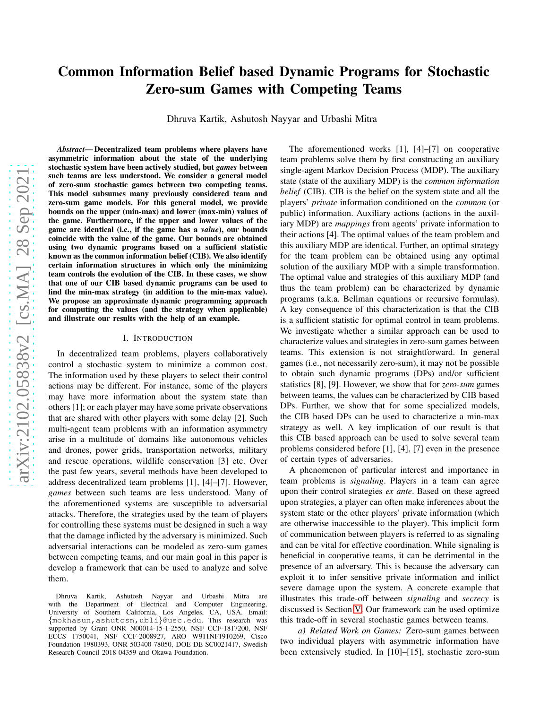# Common Information Belief based Dynamic Programs for Stochastic Zero-sum Games with Competing Teams

Dhruva Kartik, Ashutosh Nayyar and Urbashi Mitra

arXiv:2102.05838v2 [cs.MA] 28 Sep 2021 [arXiv:2102.05838v2 \[cs.MA\] 28 Sep 2021](http://arxiv.org/abs/2102.05838v2)

*Abstract*— Decentralized team problems where players have asymmetric information about the state of the underlying stochastic system have been actively studied, but *games* between such teams are less understood. We consider a general model of zero-sum stochastic games between two competing teams. This model subsumes many previously considered team and zero-sum game models. For this general model, we provide bounds on the upper (min-max) and lower (max-min) values of the game. Furthermore, if the upper and lower values of the game are identical (i.e., if the game has a *value*), our bounds coincide with the value of the game. Our bounds are obtained using two dynamic programs based on a sufficient statistic known as the common information belief (CIB). We also identify certain information structures in which only the minimizing team controls the evolution of the CIB. In these cases, we show that one of our CIB based dynamic programs can be used to find the min-max strategy (in addition to the min-max value). We propose an approximate dynamic programming approach for computing the values (and the strategy when applicable) and illustrate our results with the help of an example.

### I. INTRODUCTION

In decentralized team problems, players collaboratively control a stochastic system to minimize a common cost. The information used by these players to select their control actions may be different. For instance, some of the players may have more information about the system state than others [1]; or each player may have some private observations that are shared with other players with some delay [2]. Such multi-agent team problems with an information asymmetry arise in a multitude of domains like autonomous vehicles and drones, power grids, transportation networks, military and rescue operations, wildlife conservation [3] etc. Over the past few years, several methods have been developed to address decentralized team problems [1], [4]–[7]. However, *games* between such teams are less understood. Many of the aforementioned systems are susceptible to adversarial attacks. Therefore, the strategies used by the team of players for controlling these systems must be designed in such a way that the damage inflicted by the adversary is minimized. Such adversarial interactions can be modeled as zero-sum games between competing teams, and our main goal in this paper is develop a framework that can be used to analyze and solve them.

The aforementioned works [1], [4]–[7] on cooperative team problems solve them by first constructing an auxiliary single-agent Markov Decision Process (MDP). The auxiliary state (state of the auxiliary MDP) is the *common information belief* (CIB). CIB is the belief on the system state and all the players' *private* information conditioned on the *common* (or public) information. Auxiliary actions (actions in the auxiliary MDP) are *mappings* from agents' private information to their actions [4]. The optimal values of the team problem and this auxiliary MDP are identical. Further, an optimal strategy for the team problem can be obtained using any optimal solution of the auxiliary MDP with a simple transformation. The optimal value and strategies of this auxiliary MDP (and thus the team problem) can be characterized by dynamic programs (a.k.a. Bellman equations or recursive formulas). A key consequence of this characterization is that the CIB is a sufficient statistic for optimal control in team problems. We investigate whether a similar approach can be used to characterize values and strategies in zero-sum games between teams. This extension is not straightforward. In general games (i.e., not necessarily zero-sum), it may not be possible to obtain such dynamic programs (DPs) and/or sufficient statistics [8], [9]. However, we show that for *zero-sum* games between teams, the values can be characterized by CIB based DPs. Further, we show that for some specialized models, the CIB based DPs can be used to characterize a min-max strategy as well. A key implication of our result is that this CIB based approach can be used to solve several team problems considered before [1], [4], [7] even in the presence of certain types of adversaries.

A phenomenon of particular interest and importance in team problems is *signaling*. Players in a team can agree upon their control strategies *ex ante*. Based on these agreed upon strategies, a player can often make inferences about the system state or the other players' private information (which are otherwise inaccessible to the player). This implicit form of communication between players is referred to as signaling and can be vital for effective coordination. While signaling is beneficial in cooperative teams, it can be detrimental in the presence of an adversary. This is because the adversary can exploit it to infer sensitive private information and inflict severe damage upon the system. A concrete example that illustrates this trade-off between *signaling* and *secrecy* is discussed is Section [V.](#page-5-0) Our framework can be used optimize this trade-off in several stochastic games between teams.

*a) Related Work on Games:* Zero-sum games between two individual players with asymmetric information have been extensively studied. In [10]–[15], stochastic zero-sum

Dhruva Kartik, Ashutosh Nayyar and Urbashi Mitra are with the Department of Electrical and Computer Engineering, University of Southern California, Los Angeles, CA, USA. Email: {mokhasun,ashutosn,ubli}@usc.edu. This research was supported by Grant ONR N00014-15-1-2550, NSF CCF-1817200, NSF ECCS 1750041, NSF CCF-2008927, ARO W911NF1910269, Cisco Foundation 1980393, ONR 503400-78050, DOE DE-SC0021417, Swedish Research Council 2018-04359 and Okawa Foundation.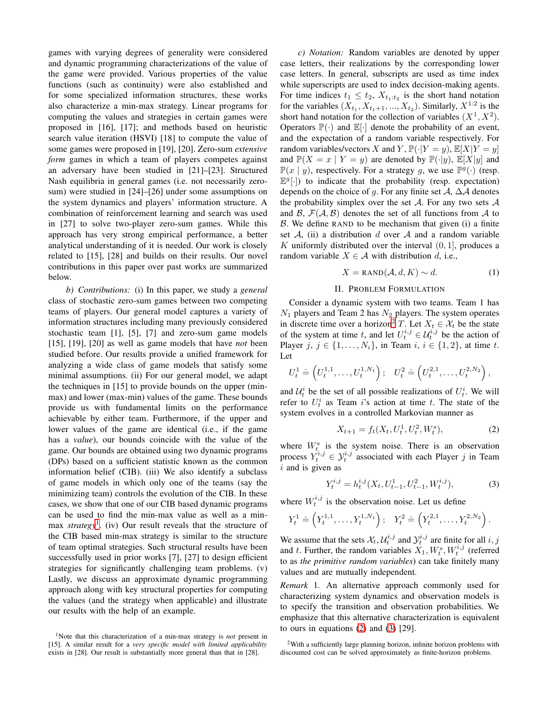games with varying degrees of generality were considered and dynamic programming characterizations of the value of the game were provided. Various properties of the value functions (such as continuity) were also established and for some specialized information structures, these works also characterize a min-max strategy. Linear programs for computing the values and strategies in certain games were proposed in [16], [17]; and methods based on heuristic search value iteration (HSVI) [18] to compute the value of some games were proposed in [19], [20]. Zero-sum *extensive form* games in which a team of players competes against an adversary have been studied in [21]–[23]. Structured Nash equilibria in general games (i.e. not necessarily zerosum) were studied in [24]–[26] under some assumptions on the system dynamics and players' information structure. A combination of reinforcement learning and search was used in [27] to solve two-player zero-sum games. While this approach has very strong empirical performance, a better analytical understanding of it is needed. Our work is closely related to [15], [28] and builds on their results. Our novel contributions in this paper over past works are summarized below.

*b) Contributions:* (i) In this paper, we study a *general* class of stochastic zero-sum games between two competing teams of players. Our general model captures a variety of information structures including many previously considered stochastic team [1], [5], [7] and zero-sum game models [15], [19], [20] as well as game models that have *not* been studied before. Our results provide a unified framework for analyzing a wide class of game models that satisfy some minimal assumptions. (ii) For our general model, we adapt the techniques in [15] to provide bounds on the upper (minmax) and lower (max-min) values of the game. These bounds provide us with fundamental limits on the performance achievable by either team. Furthermore, if the upper and lower values of the game are identical (i.e., if the game has a *value*), our bounds coincide with the value of the game. Our bounds are obtained using two dynamic programs (DPs) based on a sufficient statistic known as the common information belief (CIB). (iii) We also identify a subclass of game models in which only one of the teams (say the minimizing team) controls the evolution of the CIB. In these cases, we show that one of our CIB based dynamic programs can be used to find the min-max value as well as a minmax *strategy*[1](#page-1-0) . (iv) Our result reveals that the structure of the CIB based min-max strategy is similar to the structure of team optimal strategies. Such structural results have been successfully used in prior works [7], [27] to design efficient strategies for significantly challenging team problems. (v) Lastly, we discuss an approximate dynamic programming approach along with key structural properties for computing the values (and the strategy when applicable) and illustrate our results with the help of an example.

*c) Notation:* Random variables are denoted by upper case letters, their realizations by the corresponding lower case letters. In general, subscripts are used as time index while superscripts are used to index decision-making agents. For time indices  $t_1 \leq t_2$ ,  $X_{t_1:t_2}$  is the short hand notation for the variables  $(X_{t_1}, X_{t_1+1}, ..., X_{t_2})$ . Similarly,  $X^{1:2}$  is the short hand notation for the collection of variables  $(X^1, X^2)$ . Operators  $\mathbb{P}(\cdot)$  and  $\mathbb{E}[\cdot]$  denote the probability of an event, and the expectation of a random variable respectively. For random variables/vectors X and Y,  $\mathbb{P}(\cdot|Y=y)$ ,  $\mathbb{E}[X|Y=y]$ and  $\mathbb{P}(X = x | Y = y)$  are denoted by  $\mathbb{P}(\cdot | y)$ ,  $\mathbb{E}[X|y]$  and  $\mathbb{P}(x \mid y)$ , respectively. For a strategy g, we use  $\mathbb{P}^g(\cdot)$  (resp.  $\mathbb{E}^g[\cdot]$ ) to indicate that the probability (resp. expectation) depends on the choice of g. For any finite set  $A$ ,  $\Delta A$  denotes the probability simplex over the set  $A$ . For any two sets  $A$ and  $\mathcal{B}, \mathcal{F}(\mathcal{A}, \mathcal{B})$  denotes the set of all functions from  $\mathcal{A}$  to  $\beta$ . We define RAND to be mechanism that given (i) a finite set  $A$ , (ii) a distribution d over  $A$  and a random variable K uniformly distributed over the interval  $(0, 1]$ , produces a random variable  $X \in \mathcal{A}$  with distribution d, i.e.,

<span id="page-1-4"></span>
$$
X = \text{RAND}(\mathcal{A}, d, K) \sim d. \tag{1}
$$

### II. PROBLEM FORMULATION

Consider a dynamic system with two teams. Team 1 has  $N_1$  players and Team 2 has  $N_2$  players. The system operates in discrete time over a horizon<sup>[2](#page-1-1)</sup> T. Let  $X_t \in \mathcal{X}_t$  be the state of the system at time t, and let  $U_t^{i,j} \in \mathcal{U}_t^{i,j}$  be the action of Player j,  $j \in \{1, ..., N_i\}$ , in Team  $i, i \in \{1, 2\}$ , at time t. Let

$$
U_t^1 \doteq \left( U_t^{1,1}, \ldots, U_t^{1,N_1} \right); \quad U_t^2 \doteq \left( U_t^{2,1}, \ldots, U_t^{2,N_2} \right),
$$

and  $\mathcal{U}_t^i$  be the set of all possible realizations of  $U_t^i$ . We will refer to  $U_t^i$  as Team i's action at time t. The state of the system evolves in a controlled Markovian manner as

<span id="page-1-3"></span><span id="page-1-2"></span>
$$
X_{t+1} = f_t(X_t, U_t^1, U_t^2, W_t^s),
$$
\n(2)

where  $W_t^s$  is the system noise. There is an observation process  $Y_t^{i,j} \in \mathcal{Y}_t^{i,j}$  associated with each Player j in Team  $i$  and is given as

$$
Y_t^{i,j} = h_t^{i,j}(X_t, U_{t-1}^1, U_{t-1}^2, W_t^{i,j}),
$$
\n(3)

where  $W_t^{i,j}$  is the observation noise. Let us define

$$
Y_t^1 \doteq \left(Y_t^{1,1}, \ldots, Y_t^{1,N_1}\right); \quad Y_t^2 \doteq \left(Y_t^{2,1}, \ldots, Y_t^{2,N_2}\right).
$$

We assume that the sets  $\mathcal{X}_t$ ,  $\mathcal{U}_t^{i,j}$  and  $\mathcal{Y}_t^{i,j}$  are finite for all  $i, j$ and t. Further, the random variables  $X_1, W_t^s, W_t^{i,j}$  (referred to as *the primitive random variables*) can take finitely many values and are mutually independent.

*Remark* 1*.* An alternative approach commonly used for characterizing system dynamics and observation models is to specify the transition and observation probabilities. We emphasize that this alternative characterization is equivalent to ours in equations  $(2)$  and  $(3)$   $[29]$ .

<span id="page-1-0"></span><sup>1</sup>Note that this characterization of a min-max strategy is *not* present in [15]. A similar result for a *very specific model with limited applicability* exists in [28]. Our result is substantially more general than that in [28].

<span id="page-1-1"></span><sup>2</sup>With a sufficiently large planning horizon, infinite horizon problems with discounted cost can be solved approximately as finite-horizon problems.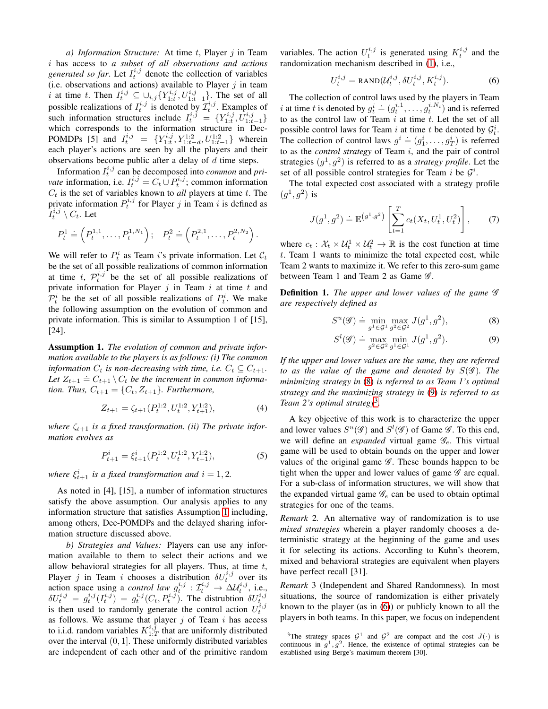*a) Information Structure:* At time t, Player j in Team i has access to *a subset of all observations and actions generated so far.* Let  $I_t^{i,j}$  denote the collection of variables (i.e. observations and actions) available to Player  $j$  in team i at time t. Then  $I_t^{i,j} \subseteq \bigcup_{i,j} \{ Y_{1:t}^{i,j}, U_{1:t-1}^{i,j} \}$ . The set of all possible realizations of  $I_t^{i,j}$  is denoted by  $\mathcal{I}_t^{i,j}$ . Examples of such information structures include  $I_t^{i,j} = \{Y_{1:t}^{i,j}, \overline{U}_{1:t-1}^{i,j}\}$ which corresponds to the information structure in Dec-POMDPs [5] and  $I_t^{i,j} = \{Y_{1:t}^{i,j}, Y_{1:t-d}^{1:2}, U_{1:t-1}^{1:2}\}\)$  wherein each player's actions are seen by all the players and their observations become public after a delay of  $d$  time steps.

Information  $I_t^{i,j}$  can be decomposed into *common* and *private* information, i.e.  $I_t^{i,j} = C_t \cup P_t^{i,j}$ ; common information  $C_t$  is the set of variables known to *all* players at time t. The private information  $P_t^{i,j}$  for Player j in Team i is defined as  $I_t^{i,j} \setminus C_t$ . Let

$$
P_t^1 = \left( P_t^{1,1}, \ldots, P_t^{1,N_1} \right); \quad P_t^2 = \left( P_t^{2,1}, \ldots, P_t^{2,N_2} \right).
$$

We will refer to  $P_t^i$  as Team i's private information. Let  $\mathcal{C}_t$ be the set of all possible realizations of common information at time t,  $\mathcal{P}_t^{i,j}$  be the set of all possible realizations of private information for Player  $j$  in Team  $i$  at time  $t$  and  $\mathcal{P}_t^i$  be the set of all possible realizations of  $P_t^i$ . We make the following assumption on the evolution of common and private information. This is similar to Assumption 1 of [15], [24].

<span id="page-2-0"></span>Assumption 1. *The evolution of common and private information available to the players is as follows: (i) The common information*  $C_t$  *is non-decreasing with time, i.e.*  $C_t \subseteq C_{t+1}$ *.* Let  $Z_{t+1} \doteq C_{t+1} \setminus C_t$  be the increment in common informa*tion. Thus,*  $C_{t+1} = \{C_t, Z_{t+1}\}$ *. Furthermore,* 

$$
Z_{t+1} = \zeta_{t+1}(P_t^{1:2}, U_t^{1:2}, Y_{t+1}^{1:2}),\tag{4}
$$

where  $\zeta_{t+1}$  *is a fixed transformation. (ii)* The private infor*mation evolves as*

$$
P_{t+1}^i = \xi_{t+1}^i (P_t^{1:2}, U_t^{1:2}, Y_{t+1}^{1:2}),\tag{5}
$$

*where*  $\xi_{t+1}^i$  *is a fixed transformation and*  $i = 1, 2$ *.* 

As noted in [4], [15], a number of information structures satisfy the above assumption. Our analysis applies to any information structure that satisfies Assumption [1](#page-2-0) including, among others, Dec-POMDPs and the delayed sharing information structure discussed above.

*b) Strategies and Values:* Players can use any information available to them to select their actions and we allow behavioral strategies for all players. Thus, at time  $t$ , Player j in Team i chooses a distribution  $\delta U_t^{i,j}$  over its action space using a *control law*  $g_t^{i,j}$  :  $\mathcal{I}_t^{i,j} \to \Delta \mathcal{U}_t^{i,j}$ , i.e.,  $\delta U_t^{i,j} = g_t^{i,j}(I_t^{i,j}) = g_t^{i,j}(C_t, P_t^{i,j})$ . The distrubtion  $\delta U_t^{i,j}$ is then used to randomly generate the control action  $U_t^{i,j}$ as follows. We assume that player  $j$  of Team  $i$  has access to i.i.d. random variables  $K_{1:T}^{i,\hat{j}}$  that are uniformly distributed over the interval (0, 1]. These uniformly distributed variables are independent of each other and of the primitive random

variables. The action  $U_t^{i,j}$  is generated using  $K_t^{i,j}$  and the randomization mechanism described in [\(1\)](#page-1-4), i.e.,

<span id="page-2-4"></span>
$$
U_t^{i,j} = \text{RAND}(U_t^{i,j}, \delta U_t^{i,j}, K_t^{i,j}).
$$
\n(6)

The collection of control laws used by the players in Team i at time t is denoted by  $g_t^i \doteq (g_t^{i,1}, \dots, g_t^{i,N_i})$  and is referred to as the control law of Team  $i$  at time  $t$ . Let the set of all possible control laws for Team i at time t be denoted by  $\mathcal{G}_t^i$ . The collection of control laws  $g^i \doteq (g_1^i, \ldots, g_T^i)$  is referred to as the *control strategy* of Team i, and the pair of control strategies  $(g<sup>1</sup>, g<sup>2</sup>)$  is referred to as a *strategy profile*. Let the set of all possible control strategies for Team i be  $\mathcal{G}^i$ .

The total expected cost associated with a strategy profile  $(g^1,g^2)$  is

<span id="page-2-7"></span>
$$
J(g^1, g^2) \doteq \mathbb{E}^{\left(g^1, g^2\right)} \left[\sum_{t=1}^T c_t(X_t, U_t^1, U_t^2)\right],\tag{7}
$$

where  $c_t$ :  $\mathcal{X}_t \times \mathcal{U}_t^1 \times \mathcal{U}_t^2 \to \mathbb{R}$  is the cost function at time t. Team 1 wants to minimize the total expected cost, while Team 2 wants to maximize it. We refer to this zero-sum game between Team 1 and Team 2 as Game  $\mathscr{G}$ .

Definition 1. *The upper and lower values of the game* G *are respectively defined as*

<span id="page-2-1"></span>
$$
S^{u}(\mathscr{G}) \doteq \min_{g^{1} \in \mathcal{G}^{1}} \max_{g^{2} \in \mathcal{G}^{2}} J(g^{1}, g^{2}), \tag{8}
$$

<span id="page-2-2"></span>
$$
S^l(\mathscr{G}) \doteq \max_{g^2 \in \mathcal{G}^2} \min_{g^1 \in \mathcal{G}^1} J(g^1, g^2). \tag{9}
$$

*If the upper and lower values are the same, they are referred to as the value of the game and denoted by*  $S(\mathscr{G})$ *. The minimizing strategy in* [\(8\)](#page-2-1) *is referred to as Team 1's optimal strategy and the maximizing strategy in* [\(9\)](#page-2-2) *is referred to as Team 2's optimal strategy*[3](#page-2-3) *.*

<span id="page-2-6"></span><span id="page-2-5"></span>A key objective of this work is to characterize the upper and lower values  $S^u(\mathscr{G})$  and  $S^l(\mathscr{G})$  of Game  $\mathscr{G}$ . To this end, we will define an *expanded* virtual game  $\mathcal{G}_e$ . This virtual game will be used to obtain bounds on the upper and lower values of the original game  $\mathscr G$ . These bounds happen to be tight when the upper and lower values of game  $\mathscr G$  are equal. For a sub-class of information structures, we will show that the expanded virtual game  $\mathscr{G}_e$  can be used to obtain optimal strategies for one of the teams.

*Remark* 2*.* An alternative way of randomization is to use *mixed strategies* wherein a player randomly chooses a deterministic strategy at the beginning of the game and uses it for selecting its actions. According to Kuhn's theorem, mixed and behavioral strategies are equivalent when players have perfect recall [31].

*Remark* 3 (Independent and Shared Randomness)*.* In most situations, the source of randomization is either privately known to the player (as in [\(6\)](#page-2-4)) or publicly known to all the players in both teams. In this paper, we focus on independent

<span id="page-2-3"></span><sup>&</sup>lt;sup>3</sup>The strategy spaces  $G^1$  and  $G^2$  are compact and the cost  $J(\cdot)$  is continuous in  $g^1$ ,  $g^2$ . Hence, the existence of optimal strategies can be established using Berge's maximum theorem [30].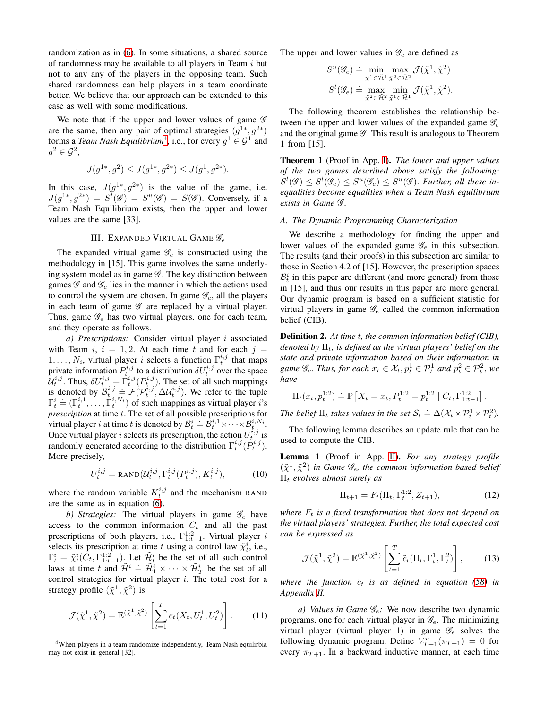randomization as in [\(6\)](#page-2-4). In some situations, a shared source of randomness may be available to all players in Team  $i$  but not to any any of the players in the opposing team. Such shared randomness can help players in a team coordinate better. We believe that our approach can be extended to this case as well with some modifications.

We note that if the upper and lower values of game  $\mathscr G$ are the same, then any pair of optimal strategies  $(g^{1*}, g^{2*})$ forms a *Team Nash Equilibrium*<sup>[4](#page-3-0)</sup>, i.e., for every  $g^1 \in \mathcal{G}^1$  and  $g^2\in \mathcal{G}^2,$ 

$$
J(g^{1*},g^2)\leq J(g^{1*},g^{2*})\leq J(g^1,g^{2*}).
$$

In this case,  $J(g^{1*}, g^{2*})$  is the value of the game, i.e.  $J(g^{1*}, g^{2*}) = S^{\mathit{l}}(\mathscr{G}) = S^{\mathit{u}}(\mathscr{G}) = S(\mathscr{G})$ . Conversely, if a Team Nash Equilibrium exists, then the upper and lower values are the same [33].

### III. EXPANDED VIRTUAL GAME  $\mathscr{G}_e$

<span id="page-3-3"></span>The expanded virtual game  $\mathscr{G}_e$  is constructed using the methodology in [15]. This game involves the same underlying system model as in game  $\mathscr G$ . The key distinction between games  $\mathscr G$  and  $\mathscr G_e$  lies in the manner in which the actions used to control the system are chosen. In game  $\mathcal{G}_e$ , all the players in each team of game  $\mathscr G$  are replaced by a virtual player. Thus, game  $\mathscr{G}_e$  has two virtual players, one for each team, and they operate as follows.

*a) Prescriptions:* Consider virtual player i associated with Team i,  $i = 1, 2$ . At each time t and for each  $j =$  $1, \ldots, N_i$ , virtual player i selects a function  $\Gamma_t^{i,j}$  that maps private information  $P_t^{i,j}$  to a distribution  $\delta U_t^{i,j}$  over the space private information  $I_t$ , to a distribution  $\partial U_t$  over the space  $U_t^{i,j}$ . Thus,  $\delta U_t^{i,j} = \Gamma_t^{i,j} (P_t^{i,j})$ . The set of all such mappings is denoted by  $B_t^{i,j} = \mathcal{F}(P_t^{i,j}, \Delta U_t^{i,j})$ . We refer to the tuple  $\Gamma_t^i \doteq (\Gamma_t^{i,1}, \dots, \Gamma_t^{i,N_i})$  of such mappings as virtual player *i*'s *prescription* at time t. The set of all possible prescriptions for virtual player *i* at time *t* is denoted by  $B_t^i \doteq B_t^{i,1} \times \cdots \times B_t^{i,N_i}$ . Once virtual player *i* selects its prescription, the action  $U_t^{i,j}$  is randomly generated according to the distribution  $\Gamma_t^{i,j}(P_t^{i,j})$ . More precisely,

$$
U_t^{i,j} = \text{RAND}\big(\mathcal{U}_t^{i,j}, \Gamma_t^{i,j}(P_t^{i,j}), K_t^{i,j}\big),\tag{10}
$$

where the random variable  $K_t^{i,j}$  and the mechanism RAND are the same as in equation [\(6\)](#page-2-4).

b) Strategies: The virtual players in game  $\mathscr{G}_e$  have access to the common information  $C_t$  and all the past prescriptions of both players, i.e.,  $\Gamma^{1:2}_{1:t-1}$ . Virtual player i selects its prescription at time t using a control law  $\tilde{\chi}^i_t$ , i.e.,  $\Gamma_t^i = \tilde{\chi}_t^i(\tilde{C}_t, \Gamma_{1:t-1}^{1:2})$ . Let  $\tilde{\mathcal{H}}_t^i$  be the set of all such control laws at time t and  $\hat{\mathcal{H}}^i \stackrel{\text{def}}{=} \hat{\mathcal{H}}_1^i \times \cdots \times \hat{\mathcal{H}}_T^i$  be the set of all control strategies for virtual player i. The total cost for a strategy profile  $(\tilde{\chi}^1, \tilde{\chi}^2)$  is

$$
\mathcal{J}(\tilde{\chi}^1, \tilde{\chi}^2) = \mathbb{E}^{(\tilde{\chi}^1, \tilde{\chi}^2)} \left[ \sum_{t=1}^T c_t(X_t, U_t^1, U_t^2) \right].
$$
 (11)

<span id="page-3-0"></span><sup>4</sup>When players in a team randomize independently, Team Nash equilirbia may not exist in general [32].

The upper and lower values in  $\mathcal{G}_e$  are defined as

$$
S^u(\mathscr{G}_e) \doteq \min_{\tilde{\chi}^1 \in \tilde{\mathcal{H}}^1} \max_{\tilde{\chi}^2 \in \tilde{\mathcal{H}}^2} \mathcal{J}(\tilde{\chi}^1, \tilde{\chi}^2)
$$
  

$$
S^l(\mathscr{G}_e) \doteq \max_{\tilde{\chi}^2 \in \tilde{\mathcal{H}}^2} \min_{\tilde{\chi}^1 \in \tilde{\mathcal{H}}^1} \mathcal{J}(\tilde{\chi}^1, \tilde{\chi}^2).
$$

The following theorem establishes the relationship between the upper and lower values of the expanded game  $\mathscr{G}_e$ and the original game  $\mathscr G$ . This result is analogous to Theorem 1 from [15].

<span id="page-3-1"></span>Theorem 1 (Proof in App. [I\)](#page-8-0). *The lower and upper values of the two games described above satisfy the following:*  $S^l(\mathscr{G}) \leq S^l(\mathscr{G}_e) \leq S^u(\mathscr{G}_e) \leq S^u(\mathscr{G})$ . *Further, all these inequalities become equalities when a Team Nash equilibrium exists in Game* G *.*

### <span id="page-3-4"></span>*A. The Dynamic Programming Characterization*

We describe a methodology for finding the upper and lower values of the expanded game  $\mathscr{G}_e$  in this subsection. The results (and their proofs) in this subsection are similar to those in Section 4.2 of [15]. However, the prescription spaces  $B_t^i$  in this paper are different (and more general) from those in [15], and thus our results in this paper are more general. Our dynamic program is based on a sufficient statistic for virtual players in game  $\mathscr{G}_e$  called the common information belief (CIB).

Definition 2. *At time* t*, the common information belief (CIB), denoted by*  $\Pi_t$ , *is defined as the virtual players' belief on the state and private information based on their information in* game  $\mathscr{G}_e$ *. Thus, for each*  $x_t \in \mathcal{X}_t$ ,  $p_t^1 \in \mathcal{P}_t^1$  and  $p_t^2 \in \mathcal{P}_t^2$ , we *have*

$$
\Pi_t(x_t, p_t^{1:2}) \doteq \mathbb{P}\left[X_t = x_t, P_t^{1:2} = p_t^{1:2} \mid C_t, \Gamma_{1:t-1}^{1:2}\right].
$$

The belief  $\Pi_t$  takes values in the set  $\mathcal{S}_t \doteq \Delta(\mathcal{X}_t \times \mathcal{P}_t^1 \times \mathcal{P}_t^2)$ .

The following lemma describes an update rule that can be used to compute the CIB.

<span id="page-3-2"></span>Lemma 1 (Proof in App. [II\)](#page-10-0). *For any strategy profile*  $(\tilde{\chi}^1, \tilde{\chi}^2)$  in Game  $\mathscr{G}_e$ , the common information based belief Π<sup>t</sup> *evolves almost surely as*

$$
\Pi_{t+1} = F_t(\Pi_t, \Gamma_t^{1:2}, Z_{t+1}),\tag{12}
$$

*where*  $F_t$  *is a fixed transformation that does not depend on the virtual players' strategies. Further, the total expected cost can be expressed as*

$$
\mathcal{J}(\tilde{\chi}^1, \tilde{\chi}^2) = \mathbb{E}^{(\tilde{\chi}^1, \tilde{\chi}^2)} \left[ \sum_{t=1}^T \tilde{c}_t(\Pi_t, \Gamma_t^1, \Gamma_t^2) \right],\tag{13}
$$

*where the function*  $\tilde{c}_t$  *is as defined in equation* [\(58\)](#page-12-0) *in Appendix [II.](#page-10-0)*

<span id="page-3-5"></span>*a)* Values in Game  $\mathscr{G}_e$ : We now describe two dynamic programs, one for each virtual player in  $\mathcal{G}_e$ . The minimizing virtual player (virtual player 1) in game  $\mathscr{G}_e$  solves the following dynamic program. Define  $V_{T+1}^u(\pi_{T+1}) = 0$  for every  $\pi_{T+1}$ . In a backward inductive manner, at each time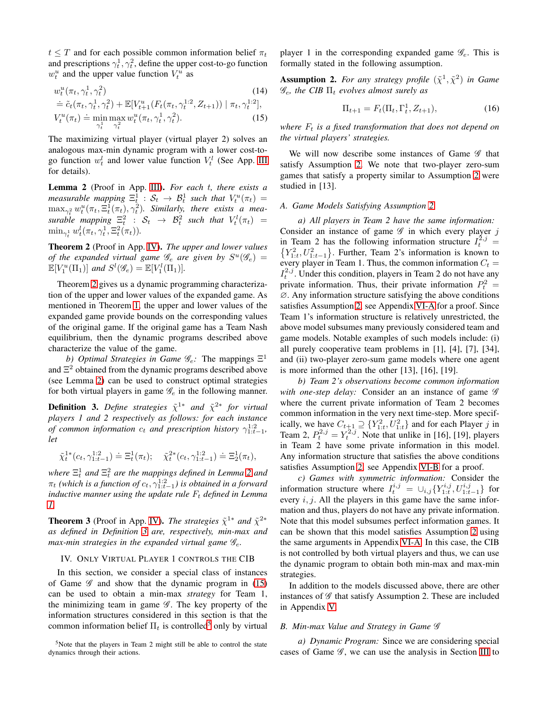$t \leq T$  and for each possible common information belief  $\pi_t$ and prescriptions  $\gamma_t^1, \gamma_t^2$ , define the upper cost-to-go function  $w_t^u$  and the upper value function  $V_t^u$  as

$$
w_t^u(\pi_t, \gamma_t^1, \gamma_t^2) \tag{14}
$$

$$
\dot{=}\tilde{c}_t(\pi_t, \gamma_t^1, \gamma_t^2) + \mathbb{E}[V_{t+1}^u(F_t(\pi_t, \gamma_t^{1:2}, Z_{t+1})) | \pi_t, \gamma_t^{1:2}],
$$
  

$$
V_t^u(\pi_t) \doteq \min_{\gamma_t^1} \max_{\gamma_t^2} w_t^u(\pi_t, \gamma_t^1, \gamma_t^2).
$$
 (15)

The maximizing virtual player (virtual player 2) solves an analogous max-min dynamic program with a lower cost-togo function  $w_t^l$  and lower value function  $V_t^l$  (See App. [III](#page-12-1) for details).

<span id="page-4-1"></span>Lemma 2 (Proof in App. [III\)](#page-12-1). *For each* t*, there exists a measurable mapping*  $\Xi_t^1$  :  $\mathcal{S}_t \to \mathcal{B}_t^1$  such that  $V_t^u(\pi_t) =$  $\max_{\gamma_t^2} w_t^u(\pi_t, \Xi_t^1(\pi_t), \gamma_t^2)$ . Similarly, there exists a mea*surable mapping*  $\Xi_t^2$  :  $S_t$   $\to$   $\mathcal{B}_t^2$  *such that*  $V_t^l(\pi_t)$  =  $\min_{\gamma_t^1} w_t^l(\pi_t, \gamma_t^1, \Xi_t^2(\pi_t)).$ 

<span id="page-4-0"></span>Theorem 2 (Proof in App. [IV\)](#page-13-0). *The upper and lower values of the expanded virtual game*  $\mathscr{G}_e$  *are given by*  $S^u(\mathscr{G}_e)$  =  $\mathbb{E}[V^u_1(\Pi_1)]$  and  $S^l(\mathscr{G}_e) = \mathbb{E}[V^l_1(\Pi_1)].$ 

Theorem [2](#page-4-0) gives us a dynamic programming characterization of the upper and lower values of the expanded game. As mentioned in Theorem [1,](#page-3-1) the upper and lower values of the expanded game provide bounds on the corresponding values of the original game. If the original game has a Team Nash equilibrium, then the dynamic programs described above characterize the value of the game.

b) Optimal Strategies in Game  $\mathscr{G}_e$ : The mappings  $\Xi^1$ and  $\Xi^2$  obtained from the dynamic programs described above (see Lemma [2\)](#page-4-1) can be used to construct optimal strategies for both virtual players in game  $\mathscr{G}_e$  in the following manner.

<span id="page-4-2"></span>**Definition 3.** Define strategies  $\tilde{\chi}^{1*}$  and  $\tilde{\chi}^{2*}$  for virtual *players 1 and 2 respectively as follows: for each instance of common information*  $c_t$  *and prescription history*  $\gamma_{1:t-1}^{1:2}$ , *let*

$$
\tilde{\chi}^{1*}_{t}(c_t,\gamma_{1:t-1}^{1:2})\doteq\Xi^1_t(\pi_t);\quad \tilde{\chi}^{2*}_{t}(c_t,\gamma_{1:t-1}^{1:2})\doteq\Xi^1_2(\pi_t),
$$

where  $\Xi_t^1$  and  $\Xi_t^2$  are the mappings defined in Lemma [2](#page-4-1) and  $\pi_t$  (which is a function of  $c_t, \gamma_{1:t-1}^{1:2}$ ) is obtained in a forward *inductive manner using the update rule*  $F_t$  *defined in Lemma [1.](#page-3-2)*

<span id="page-4-7"></span>**Theorem 3** (Proof in App. [IV\)](#page-13-0). *The strategies*  $\tilde{\chi}^{1*}$  *and*  $\tilde{\chi}^{2*}$ *as defined in Definition [3](#page-4-2) are, respectively, min-max and max-min strategies in the expanded virtual game* Ge*.*

### IV. ONLY VIRTUAL PLAYER 1 CONTROLS THE CIB

In this section, we consider a special class of instances of Game  $\mathscr G$  and show that the dynamic program in [\(15\)](#page-4-3) can be used to obtain a min-max *strategy* for Team 1, the minimizing team in game  $\mathscr G$ . The key property of the information structures considered in this section is that the common information belief  $\Pi_t$  is controlled<sup>[5](#page-4-4)</sup> only by virtual player 1 in the corresponding expanded game  $\mathscr{G}_e$ . This is formally stated in the following assumption.

<span id="page-4-6"></span><span id="page-4-5"></span>**Assumption 2.** For any strategy profile  $(\tilde{\chi}^1, \tilde{\chi}^2)$  in Game  $\mathscr{G}_e$ , the CIB  $\Pi_t$  evolves almost surely as

$$
\Pi_{t+1} = F_t(\Pi_t, \Gamma_t^1, Z_{t+1}),\tag{16}
$$

<span id="page-4-3"></span>*where*  $F_t$  *is a fixed transformation that does not depend on the virtual players' strategies.*

We will now describe some instances of Game  $\mathscr G$  that satisfy Assumption [2.](#page-4-5) We note that two-player zero-sum games that satisfy a property similar to Assumption [2](#page-4-5) were studied in [13].

### <span id="page-4-8"></span>*A. Game Models Satisfying Assumption [2](#page-4-5)*

*a) All players in Team 2 have the same information:* Consider an instance of game  $\mathscr G$  in which every player j in Team 2 has the following information structure  $I_t^{2,j}$ in Team 2 has the following information structure  $I_t^{2,3} = \{Y_{1:t}^2, U_{1:t-1}^2\}$ . Further, Team 2's information is known to every player in Team 1. Thus, the common information  $C_t$  =  $I_t^{2,j}$ . Under this condition, players in Team 2 do not have any private information. Thus, their private information  $P_t^2 =$ ∅. Any information structure satisfying the above conditions satisfies Assumption [2,](#page-4-5) see Appendix [VI-A](#page-15-0) for a proof. Since Team 1's information structure is relatively unrestricted, the above model subsumes many previously considered team and game models. Notable examples of such models include: (i) all purely cooperative team problems in [1], [4], [7], [34], and (ii) two-player zero-sum game models where one agent is more informed than the other [13], [16], [19].

*b) Team 2's observations become common information* with one-step delay: Consider an an instance of game  $\mathscr G$ where the current private information of Team 2 becomes common information in the very next time-step. More specifically, we have  $C_{t+1} \supseteq \{Y_{1:t}^2, U_{1:t}^2\}$  and for each Player j in Team 2,  $P_t^{2,j} = Y_t^{2,j}$ . Note that unlike in [16], [19], players in Team 2 have some private information in this model. Any information structure that satisfies the above conditions satisfies Assumption [2,](#page-4-5) see Appendix [VI-B](#page-16-0) for a proof.

*c) Games with symmetric information:* Consider the information structure where  $I_t^{i,j} = \bigcup_{i,j} \{Y_{1:t}^{i,j}, U_{1:t-1}^{i,j}\}\)$  for every  $i, j$ . All the players in this game have the same information and thus, players do not have any private information. Note that this model subsumes perfect information games. It can be shown that this model satisfies Assumption [2](#page-4-5) using the same arguments in Appendix [VI-A.](#page-15-0) In this case, the CIB is not controlled by both virtual players and thus, we can use the dynamic program to obtain both min-max and max-min strategies.

In addition to the models discussed above, there are other instances of  $\mathscr G$  that satisfy Assumption 2. These are included in Appendix [V.](#page-14-0)

### <span id="page-4-9"></span>*B. Min-max Value and Strategy in Game* G

*a) Dynamic Program:* Since we are considering special cases of Game  $\mathscr G$ , we can use the analysis in Section [III](#page-3-3) to

<span id="page-4-4"></span><sup>5</sup>Note that the players in Team 2 might still be able to control the state dynamics through their actions.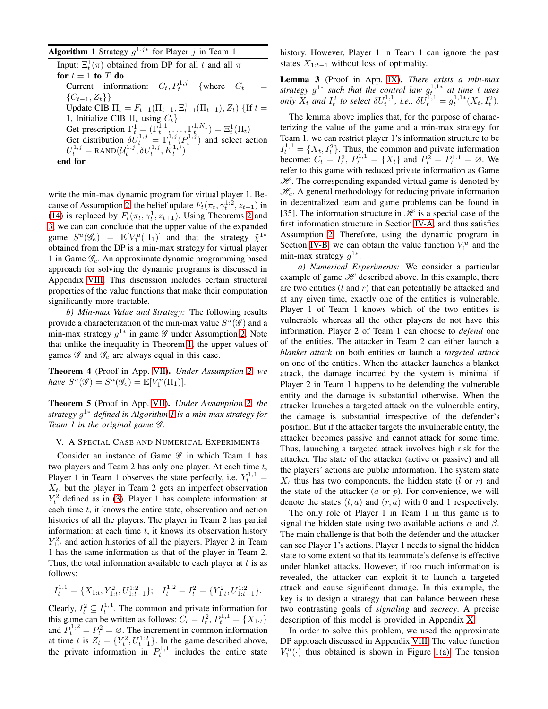<span id="page-5-1"></span>

| <b>Algorithm 1</b> Strategy $q^{1,j*}$ for Player j in Team 1                                                                                                                                                                                     |  |  |  |  |  |  |
|---------------------------------------------------------------------------------------------------------------------------------------------------------------------------------------------------------------------------------------------------|--|--|--|--|--|--|
| Input: $\Xi_t^1(\pi)$ obtained from DP for all t and all $\pi$                                                                                                                                                                                    |  |  |  |  |  |  |
| for $t=1$ to T do                                                                                                                                                                                                                                 |  |  |  |  |  |  |
| Current information: $C_t$ , $P_t^{1,j}$ {where $C_t$                                                                                                                                                                                             |  |  |  |  |  |  |
| $\{C_{t-1}, Z_t\}\}\$                                                                                                                                                                                                                             |  |  |  |  |  |  |
| Update CIB $\Pi_t = F_{t-1}(\Pi_{t-1}, \Xi_{t-1}^1(\Pi_{t-1}), Z_t)$ {If $t =$                                                                                                                                                                    |  |  |  |  |  |  |
| 1, Initialize CIB $\Pi_t$ using $C_t$                                                                                                                                                                                                             |  |  |  |  |  |  |
|                                                                                                                                                                                                                                                   |  |  |  |  |  |  |
|                                                                                                                                                                                                                                                   |  |  |  |  |  |  |
| Get prescription $\Gamma_t^1 = (\Gamma_t^{1,1}, \dots, \Gamma_t^{1,N_1}) = \Xi_t^1(\Pi_t)$<br>Get distribution $\delta U_t^{1,j} = \Gamma_t^{1,j}(P_t^{1,j})$ and select action $U_t^{1,j} = \text{RAND}(U_t^{1,j}, \delta U_t^{1,j}, K_t^{1,j})$ |  |  |  |  |  |  |
| end for                                                                                                                                                                                                                                           |  |  |  |  |  |  |

write the min-max dynamic program for virtual player 1. Be-cause of Assumption [2,](#page-4-5) the belief update  $F_t(\pi_t, \gamma_t^{1:2}, z_{t+1})$  in [\(14\)](#page-4-6) is replaced by  $F_t(\pi_t, \gamma_t^1, z_{t+1})$ . Using Theorems [2](#page-4-0) and [3,](#page-4-7) we can can conclude that the upper value of the expanded game  $S^u(\mathscr{G}_e) = \mathbb{E}[V_1^u(\Pi_1)]$  and that the strategy  $\tilde{\chi}^{1*}$ obtained from the DP is a min-max strategy for virtual player 1 in Game  $\mathscr{G}_e$ . An approximate dynamic programming based approach for solving the dynamic programs is discussed in Appendix [VIII.](#page-18-0) This discussion includes certain structural properties of the value functions that make their computation significantly more tractable.

*b) Min-max Value and Strategy:* The following results provide a characterization of the min-max value  $S^u(\mathscr{G})$  and a min-max strategy  $g^{1*}$  in game  $\mathscr G$  under Assumption [2.](#page-4-5) Note that unlike the inequality in Theorem [1,](#page-3-1) the upper values of games  $\mathscr G$  and  $\mathscr G_e$  are always equal in this case.

Theorem 4 (Proof in App. [VII\)](#page-17-0). *Under Assumption [2,](#page-4-5) we have*  $S^u(\mathscr{G}) = S^u(\mathscr{G}_e) = \mathbb{E}[V_1^u(\Pi_1)].$ 

<span id="page-5-2"></span>Theorem 5 (Proof in App. [VII\)](#page-17-0). *Under Assumption [2,](#page-4-5) the strategy* g <sup>1</sup><sup>∗</sup> *defined in Algorithm [1](#page-5-1) is a min-max strategy for Team 1 in the original game* G *.*

### <span id="page-5-0"></span>V. A SPECIAL CASE AND NUMERICAL EXPERIMENTS

Consider an instance of Game  $\mathscr G$  in which Team 1 has two players and Team 2 has only one player. At each time  $t$ , Player 1 in Team 1 observes the state perfectly, i.e.  $Y_t^{1,1} =$  $X_t$ , but the player in Team 2 gets an imperfect observation  $Y_t^2$  defined as in [\(3\)](#page-1-3). Player 1 has complete information: at each time t, it knows the entire state, observation and action histories of all the players. The player in Team 2 has partial information: at each time  $t$ , it knows its observation history  $Y_{1:t}^2$  and action histories of all the players. Player 2 in Team 1 has the same information as that of the player in Team 2. Thus, the total information available to each player at  $t$  is as follows:

$$
I_t^{1,1} = \{X_{1:t}, Y_{1:t}^2, U_{1:t-1}^{1,2}\}; \quad I_t^{1,2} = I_t^2 = \{Y_{1:t}^2, U_{1:t-1}^{1,2}\}.
$$

Clearly,  $I_t^2 \subseteq I_t^{1,1}$ . The common and private information for this game can be written as follows:  $C_t = I_t^2$ ,  $P_t^{1,1} = \{X_{1:t}\}$ and  $P_t^{1,2} = P_t^2 = \emptyset$ . The increment in common information at time t is  $Z_t = \{Y_t^2, U_{t-1}^{1:2}\}$ . In the game described above, the private information in  $P_t^{1,1}$  includes the entire state

history. However, Player 1 in Team 1 can ignore the past states  $X_{1:t-1}$  without loss of optimality.

<span id="page-5-3"></span>Lemma 3 (Proof in App. [IX\)](#page-20-0). *There exists a min-max strategy*  $g^{1*}$  *such that the control law*  $g_t^{1,1*}$  *at time t uses only*  $X_t$  *and*  $I_t^2$  *to select*  $\delta U_t^{1,1}$ *, i.e.,*  $\delta U_t^{1,1} = g_t^{1,1*}(X_t, I_t^2)$ *.* 

The lemma above implies that, for the purpose of characterizing the value of the game and a min-max strategy for Team 1, we can restrict player 1's information structure to be  $I_t^{1,1} = \{X_t, I_t^2\}$ . Thus, the common and private information become:  $C_t = I_t^2$ ,  $P_t^{1,1} = \{X_t\}$  and  $P_t^2 = P_t^{1,1} = \emptyset$ . We refer to this game with reduced private information as Game  $H$ . The corresponding expanded virtual game is denoted by  $\mathcal{H}_{e}$ . A general methodology for reducing private information in decentralized team and game problems can be found in [35]. The information structure in  $\mathcal H$  is a special case of the first information structure in Section [IV-A,](#page-4-8) and thus satisfies Assumption [2.](#page-4-5) Therefore, using the dynamic program in Section [IV-B,](#page-4-9) we can obtain the value function  $V_1^u$  and the min-max strategy  $g^{1*}$ .

*a) Numerical Experiments:* We consider a particular example of game  $\mathcal H$  described above. In this example, there are two entities  $(l \text{ and } r)$  that can potentially be attacked and at any given time, exactly one of the entities is vulnerable. Player 1 of Team 1 knows which of the two entities is vulnerable whereas all the other players do not have this information. Player 2 of Team 1 can choose to *defend* one of the entities. The attacker in Team 2 can either launch a *blanket attack* on both entities or launch a *targeted attack* on one of the entities. When the attacker launches a blanket attack, the damage incurred by the system is minimal if Player 2 in Team 1 happens to be defending the vulnerable entity and the damage is substantial otherwise. When the attacker launches a targeted attack on the vulnerable entity, the damage is substantial irrespective of the defender's position. But if the attacker targets the invulnerable entity, the attacker becomes passive and cannot attack for some time. Thus, launching a targeted attack involves high risk for the attacker. The state of the attacker (active or passive) and all the players' actions are public information. The system state  $X_t$  thus has two components, the hidden state (l or r) and the state of the attacker  $(a \text{ or } p)$ . For convenience, we will denote the states  $(l, a)$  and  $(r, a)$  with 0 and 1 respectively.

The only role of Player 1 in Team 1 in this game is to signal the hidden state using two available actions  $\alpha$  and  $\beta$ . The main challenge is that both the defender and the attacker can see Player 1's actions. Player 1 needs to signal the hidden state to some extent so that its teammate's defense is effective under blanket attacks. However, if too much information is revealed, the attacker can exploit it to launch a targeted attack and cause significant damage. In this example, the key is to design a strategy that can balance between these two contrasting goals of *signaling* and *secrecy*. A precise description of this model is provided in Appendix [X.](#page-22-0)

In order to solve this problem, we used the approximate DP approach discussed in Appendix [VIII.](#page-18-0) The value function  $V_1^u(\cdot)$  thus obtained is shown in Figure [1\(a\).](#page-6-0) The tension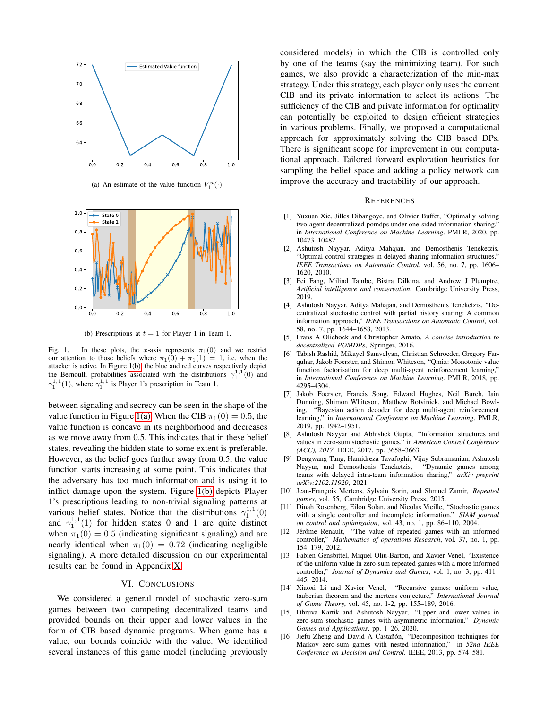<span id="page-6-0"></span>

(a) An estimate of the value function  $V_1^u(\cdot)$ .



<span id="page-6-1"></span>(b) Prescriptions at  $t = 1$  for Player 1 in Team 1.

Fig. 1. In these plots, the x-axis represents  $\pi_1(0)$  and we restrict our attention to those beliefs where  $\pi_1(0) + \pi_1(1) = 1$ , i.e. when the attacker is active. In Figure [1\(b\),](#page-6-1) the blue and red curves respectively depict the Bernoulli probabilities associated with the distributions  $\gamma_1^{1,1}(0)$  and  $\gamma_1^{1,1}(1)$ , where  $\gamma_1^{1,1}$  is Player 1's prescription in Team 1.

between signaling and secrecy can be seen in the shape of the value function in Figure [1\(a\).](#page-6-0) When the CIB  $\pi_1(0) = 0.5$ , the value function is concave in its neighborhood and decreases as we move away from 0.5. This indicates that in these belief states, revealing the hidden state to some extent is preferable. However, as the belief goes further away from 0.5, the value function starts increasing at some point. This indicates that the adversary has too much information and is using it to inflict damage upon the system. Figure [1\(b\)](#page-6-1) depicts Player 1's prescriptions leading to non-trivial signaling patterns at various belief states. Notice that the distributions  $\gamma_1^{1,1}(0)$ and  $\gamma_1^{1,1}(1)$  for hidden states 0 and 1 are quite distinct when  $\pi_1(0) = 0.5$  (indicating significant signaling) and are nearly identical when  $\pi_1(0) = 0.72$  (indicating negligible signaling). A more detailed discussion on our experimental results can be found in Appendix [X.](#page-22-0)

#### VI. CONCLUSIONS

We considered a general model of stochastic zero-sum games between two competing decentralized teams and provided bounds on their upper and lower values in the form of CIB based dynamic programs. When game has a value, our bounds coincide with the value. We identified several instances of this game model (including previously considered models) in which the CIB is controlled only by one of the teams (say the minimizing team). For such games, we also provide a characterization of the min-max strategy. Under this strategy, each player only uses the current CIB and its private information to select its actions. The sufficiency of the CIB and private information for optimality can potentially be exploited to design efficient strategies in various problems. Finally, we proposed a computational approach for approximately solving the CIB based DPs. There is significant scope for improvement in our computational approach. Tailored forward exploration heuristics for sampling the belief space and adding a policy network can improve the accuracy and tractability of our approach.

#### **REFERENCES**

- [1] Yuxuan Xie, Jilles Dibangoye, and Olivier Buffet, "Optimally solving two-agent decentralized pomdps under one-sided information sharing," in *International Conference on Machine Learning*. PMLR, 2020, pp. 10473–10482.
- [2] Ashutosh Nayyar, Aditya Mahajan, and Demosthenis Teneketzis, "Optimal control strategies in delayed sharing information structures," *IEEE Transactions on Automatic Control*, vol. 56, no. 7, pp. 1606– 1620, 2010.
- [3] Fei Fang, Milind Tambe, Bistra Dilkina, and Andrew J Plumptre, *Artificial intelligence and conservation*, Cambridge University Press, 2019.
- [4] Ashutosh Nayyar, Aditya Mahajan, and Demosthenis Teneketzis, "Decentralized stochastic control with partial history sharing: A common information approach," *IEEE Transactions on Automatic Control*, vol. 58, no. 7, pp. 1644–1658, 2013.
- [5] Frans A Oliehoek and Christopher Amato, *A concise introduction to decentralized POMDPs*, Springer, 2016.
- [6] Tabish Rashid, Mikayel Samvelyan, Christian Schroeder, Gregory Farquhar, Jakob Foerster, and Shimon Whiteson, "Qmix: Monotonic value function factorisation for deep multi-agent reinforcement learning," in *International Conference on Machine Learning*. PMLR, 2018, pp. 4295–4304.
- [7] Jakob Foerster, Francis Song, Edward Hughes, Neil Burch, Iain Dunning, Shimon Whiteson, Matthew Botvinick, and Michael Bowling, "Bayesian action decoder for deep multi-agent reinforcement learning," in *International Conference on Machine Learning*. PMLR, 2019, pp. 1942–1951.
- [8] Ashutosh Nayyar and Abhishek Gupta, "Information structures and values in zero-sum stochastic games," in *American Control Conference (ACC), 2017*. IEEE, 2017, pp. 3658–3663.
- [9] Dengwang Tang, Hamidreza Tavafoghi, Vijay Subramanian, Ashutosh Nayyar, and Demosthenis Teneketzis, "Dynamic games among teams with delayed intra-team information sharing," *arXiv preprint arXiv:2102.11920*, 2021.
- [10] Jean-François Mertens, Sylvain Sorin, and Shmuel Zamir, *Repeated games*, vol. 55, Cambridge University Press, 2015.
- [11] Dinah Rosenberg, Eilon Solan, and Nicolas Vieille, "Stochastic games with a single controller and incomplete information," *SIAM journal on control and optimization*, vol. 43, no. 1, pp. 86–110, 2004.
- [12] Jérôme Renault, "The value of repeated games with an informed controller," *Mathematics of operations Research*, vol. 37, no. 1, pp. 154–179, 2012.
- [13] Fabien Gensbittel, Miquel Oliu-Barton, and Xavier Venel, "Existence of the uniform value in zero-sum repeated games with a more informed controller," *Journal of Dynamics and Games*, vol. 1, no. 3, pp. 411– 445, 2014.
- [14] Xiaoxi Li and Xavier Venel, "Recursive games: uniform value, tauberian theorem and the mertens conjecture," *International Journal of Game Theory*, vol. 45, no. 1-2, pp. 155–189, 2016.
- [15] Dhruva Kartik and Ashutosh Nayyar, "Upper and lower values in zero-sum stochastic games with asymmetric information," *Dynamic Games and Applications*, pp. 1–26, 2020.
- [16] Jiefu Zheng and David A Castañón, "Decomposition techniques for Markov zero-sum games with nested information," in *52nd IEEE Conference on Decision and Control*. IEEE, 2013, pp. 574–581.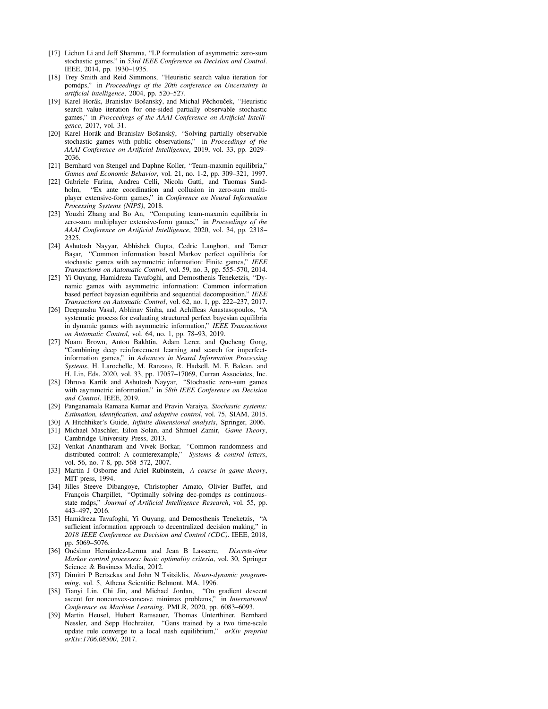- [17] Lichun Li and Jeff Shamma, "LP formulation of asymmetric zero-sum stochastic games," in *53rd IEEE Conference on Decision and Control*. IEEE, 2014, pp. 1930–1935.
- [18] Trey Smith and Reid Simmons, "Heuristic search value iteration for pomdps," in *Proceedings of the 20th conference on Uncertainty in artificial intelligence*, 2004, pp. 520–527.
- [19] Karel Horák, Branislav Bošanský, and Michal Pěchouček, "Heuristic search value iteration for one-sided partially observable stochastic games," in *Proceedings of the AAAI Conference on Artificial Intelligence*, 2017, vol. 31.
- [20] Karel Horák and Branislav Bošanskỳ, "Solving partially observable stochastic games with public observations," in *Proceedings of the AAAI Conference on Artificial Intelligence*, 2019, vol. 33, pp. 2029– 2036.
- [21] Bernhard von Stengel and Daphne Koller, "Team-maxmin equilibria," *Games and Economic Behavior*, vol. 21, no. 1-2, pp. 309–321, 1997.
- [22] Gabriele Farina, Andrea Celli, Nicola Gatti, and Tuomas Sandholm, "Ex ante coordination and collusion in zero-sum multiplayer extensive-form games," in *Conference on Neural Information Processing Systems (NIPS)*, 2018.
- [23] Youzhi Zhang and Bo An, "Computing team-maxmin equilibria in zero-sum multiplayer extensive-form games," in *Proceedings of the AAAI Conference on Artificial Intelligence*, 2020, vol. 34, pp. 2318– 2325.
- [24] Ashutosh Nayyar, Abhishek Gupta, Cedric Langbort, and Tamer Başar, "Common information based Markov perfect equilibria for stochastic games with asymmetric information: Finite games," *IEEE Transactions on Automatic Control*, vol. 59, no. 3, pp. 555–570, 2014.
- [25] Yi Ouyang, Hamidreza Tavafoghi, and Demosthenis Teneketzis, "Dynamic games with asymmetric information: Common information based perfect bayesian equilibria and sequential decomposition," *IEEE Transactions on Automatic Control*, vol. 62, no. 1, pp. 222–237, 2017.
- [26] Deepanshu Vasal, Abhinav Sinha, and Achilleas Anastasopoulos, "A systematic process for evaluating structured perfect bayesian equilibria in dynamic games with asymmetric information," *IEEE Transactions on Automatic Control*, vol. 64, no. 1, pp. 78–93, 2019.
- [27] Noam Brown, Anton Bakhtin, Adam Lerer, and Qucheng Gong, "Combining deep reinforcement learning and search for imperfectinformation games," in *Advances in Neural Information Processing Systems*, H. Larochelle, M. Ranzato, R. Hadsell, M. F. Balcan, and H. Lin, Eds. 2020, vol. 33, pp. 17057–17069, Curran Associates, Inc.
- [28] Dhruva Kartik and Ashutosh Nayyar, "Stochastic zero-sum games with asymmetric information," in *58th IEEE Conference on Decision and Control*. IEEE, 2019.
- [29] Panganamala Ramana Kumar and Pravin Varaiya, *Stochastic systems: Estimation, identification, and adaptive control*, vol. 75, SIAM, 2015.
- [30] A Hitchhiker's Guide, *Infinite dimensional analysis*, Springer, 2006. [31] Michael Maschler, Eilon Solan, and Shmuel Zamir, *Game Theory*,
- Cambridge University Press, 2013.
- [32] Venkat Anantharam and Vivek Borkar, "Common randomness and distributed control. A counterexample," Systems & control letters. distributed control: A counterexample," vol. 56, no. 7-8, pp. 568–572, 2007.
- [33] Martin J Osborne and Ariel Rubinstein, *A course in game theory*, MIT press, 1994.
- [34] Jilles Steeve Dibangoye, Christopher Amato, Olivier Buffet, and Francois Charpillet, "Optimally solving dec-pomdps as continuousstate mdps," *Journal of Artificial Intelligence Research*, vol. 55, pp. 443–497, 2016.
- [35] Hamidreza Tavafoghi, Yi Ouyang, and Demosthenis Teneketzis, "A sufficient information approach to decentralized decision making," in *2018 IEEE Conference on Decision and Control (CDC)*. IEEE, 2018, pp. 5069–5076.
- [36] Onésimo Hernández-Lerma and Jean B Lasserre, *Discrete-time Markov control processes: basic optimality criteria*, vol. 30, Springer Science & Business Media, 2012.
- [37] Dimitri P Bertsekas and John N Tsitsiklis, *Neuro-dynamic programming*, vol. 5, Athena Scientific Belmont, MA, 1996.
- [38] Tianyi Lin, Chi Jin, and Michael Jordan, "On gradient descent ascent for nonconvex-concave minimax problems," in *International Conference on Machine Learning*. PMLR, 2020, pp. 6083–6093.
- [39] Martin Heusel, Hubert Ramsauer, Thomas Unterthiner, Bernhard Nessler, and Sepp Hochreiter, "Gans trained by a two time-scale update rule converge to a local nash equilibrium," *arXiv preprint arXiv:1706.08500*, 2017.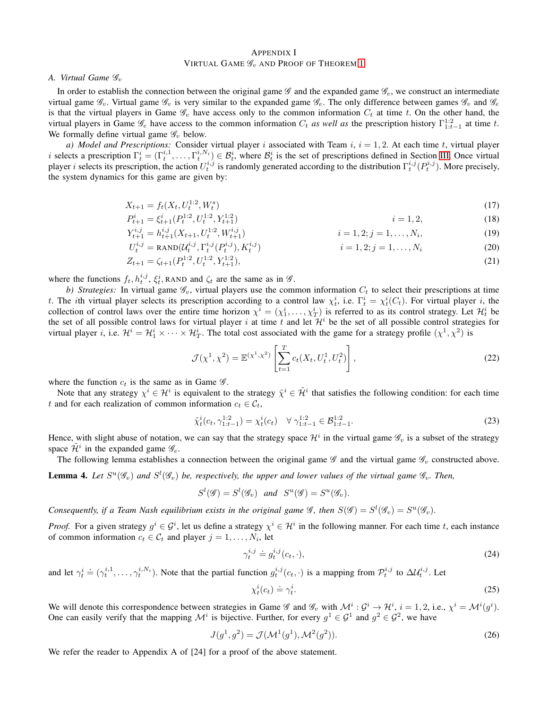### <span id="page-8-0"></span>APPENDIX I VIRTUAL GAME  $\mathscr{G}_v$  and Proof of Theorem [1](#page-3-1)

*A. Virtual Game*  $\mathscr{G}_v$ 

In order to establish the connection between the original game  $\mathscr G$  and the expanded game  $\mathscr G_e$ , we construct an intermediate virtual game  $\mathscr{G}_v$ . Virtual game  $\mathscr{G}_v$  is very similar to the expanded game  $\mathscr{G}_e$ . The only difference between games  $\mathscr{G}_v$  and  $\mathscr{G}_e$ is that the virtual players in Game  $\mathcal{G}_v$  have access only to the common information  $C_t$  at time t. On the other hand, the virtual players in Game  $\mathscr{G}_e$  have access to the common information  $C_t$  *as well as* the prescription history  $\Gamma^{1:2}_{1:t-1}$  at time t. We formally define virtual game  $\mathscr{G}_v$  below.

*a) Model and Prescriptions:* Consider virtual player *i* associated with Team  $i$ ,  $i = 1, 2$ . At each time  $t$ , virtual player *i* selects a prescription  $\Gamma_t^i = (\Gamma_t^{i,1}, \ldots, \Gamma_t^{i,N_i}) \in \mathcal{B}_t^i$ , where  $\mathcal{B}_t^i$  is the set of prescriptions defined in Section [III.](#page-3-3) Once virtual player *i* selects its prescription, the action  $U_t^{i,j}$  is randomly generated according to the distribution  $\Gamma_t^{i,j}(P_t^{i,j})$ . More precisely, the system dynamics for this game are given by:

$$
X_{t+1} = f_t(X_t, U_t^{1:2}, W_t^s) \tag{17}
$$

$$
P_{t+1}^i = \xi_{t+1}^i(P_t^{1:2}, U_t^{1:2}, Y_{t+1}^{1:2})
$$
\n
$$
i = 1, 2,
$$
\n(18)

$$
Y_{t+1}^{i,j} = h_{t+1}^{i,j}(X_{t+1}, U_t^{1:2}, W_{t+1}^{i,j})
$$
\n
$$
i = 1, 2; j = 1, \dots, N_i,
$$
\n(19)

$$
U_t^{i,j} = \text{RAND}\left(\mathcal{U}_t^{i,j}, \Gamma_t^{i,j}(P_t^{i,j}), K_t^{i,j}\right) \qquad i = 1, 2; j = 1, ..., N_i \tag{20}
$$

$$
Z_{t+1} = \zeta_{t+1}(P_t^{1:2}, U_t^{1:2}, Y_{t+1}^{1:2}),\tag{21}
$$

where the functions  $f_t, h_t^{i,j}, \xi_t^i$ , RAND and  $\zeta_t$  are the same as in  $\mathscr{G}$ .

*b) Strategies:* In virtual game  $\mathcal{G}_v$ , virtual players use the common information  $C_t$  to select their prescriptions at time t. The ith virtual player selects its prescription according to a control law  $\chi_t^i$ , i.e.  $\Gamma_t^i = \chi_t^i(C_t)$ . For virtual player i, the collection of control laws over the entire time horizon  $\chi^i = (\chi_1^i, \dots, \chi_T^i)$  is referred to as its control strategy. Let  $\mathcal{H}_t^i$  be the set of all possible control laws for virtual player i at time t and let  $\mathcal{H}^i$  be the set of all possible control strategies for virtual player *i*, i.e.  $\mathcal{H}^i = \mathcal{H}^i_1 \times \cdots \times \mathcal{H}^i_T$ . The total cost associated with the game for a strategy profile  $(\chi^1, \chi^2)$  is

<span id="page-8-2"></span><span id="page-8-1"></span>
$$
\mathcal{J}(\chi^1, \chi^2) = \mathbb{E}^{(\chi^1, \chi^2)} \left[ \sum_{t=1}^T c_t(X_t, U_t^1, U_t^2) \right],
$$
\n(22)

where the function  $c_t$  is the same as in Game  $\mathscr{G}$ .

Note that any strategy  $\chi^i \in H^i$  is equivalent to the strategy  $\tilde{\chi}^i \in \tilde{\mathcal{H}}^i$  that satisfies the following condition: for each time t and for each realization of common information  $c_t \in \mathcal{C}_t$ ,

$$
\tilde{\chi}_t^i(c_t, \gamma_{1:t-1}^{1:2}) = \chi_t^i(c_t) \quad \forall \; \gamma_{1:t-1}^{1:2} \in \mathcal{B}_{1:t-1}^{1:2}.
$$
\n(23)

Hence, with slight abuse of notation, we can say that the strategy space  $\mathcal{H}^i$  in the virtual game  $\mathscr{G}_v$  is a subset of the strategy space  $\mathcal{H}^i$  in the expanded game  $\mathscr{G}_e$ .

The following lemma establishes a connection between the original game  $\mathscr G$  and the virtual game  $\mathscr G_v$  constructed above.

<span id="page-8-3"></span>**Lemma 4.** Let  $S^u(\mathscr{G}_v)$  and  $S^l(\mathscr{G}_v)$  be, respectively, the upper and lower values of the virtual game  $\mathscr{G}_v$ . Then,

$$
S^l(\mathscr{G})=S^l(\mathscr{G}_v) \quad \text{and} \quad S^u(\mathscr{G})=S^u(\mathscr{G}_v).
$$

*Consequently, if a Team Nash equilibrium exists in the original game*  $\mathscr{G}$ *, then*  $S(\mathscr{G}) = S^l(\mathscr{G}_v) = S^u(\mathscr{G}_v)$ *.* 

*Proof.* For a given strategy  $g^i \in G^i$ , let us define a strategy  $\chi^i \in H^i$  in the following manner. For each time t, each instance of common information  $c_t \in \mathcal{C}_t$  and player  $j = 1, \ldots, N_i$ , let

$$
\gamma_t^{i,j} \doteq g_t^{i,j}(c_t, \cdot),\tag{24}
$$

and let  $\gamma_t^i \doteq (\gamma_t^{i,1}, \dots, \gamma_t^{i,N_i})$ . Note that the partial function  $g_t^{i,j}(c_t, \cdot)$  is a mapping from  $\mathcal{P}_t^{i,j}$  to  $\Delta \mathcal{U}_t^{i,j}$ . Let

$$
\chi_t^i(c_t) \doteq \gamma_t^i. \tag{25}
$$

We will denote this correspondence between strategies in Game  $\mathscr G$  and  $\mathscr G_v$  with  $\mathcal M^i : \mathcal G^i \to \mathcal H^i$ ,  $i = 1, 2$ , i.e.,  $\chi^i = \mathcal M^i(g^i)$ . One can easily verify that the mapping  $\mathcal{M}^i$  is bijective. Further, for every  $g^1 \in \mathcal{G}^1$  and  $g^2 \in \mathcal{G}^2$ , we have

$$
J(g^1, g^2) = \mathcal{J}(\mathcal{M}^1(g^1), \mathcal{M}^2(g^2)).
$$
\n(26)

We refer the reader to Appendix A of [24] for a proof of the above statement.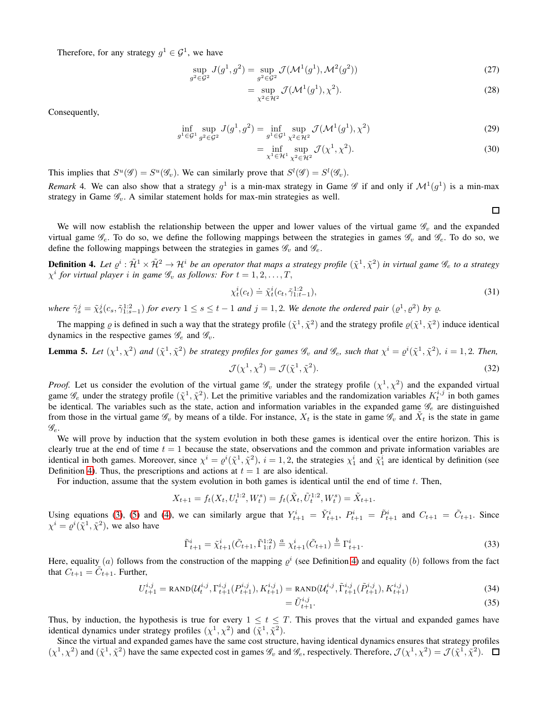Therefore, for any strategy  $g^1 \in \mathcal{G}^1$ , we have

$$
\sup_{g^2 \in \mathcal{G}^2} J(g^1, g^2) = \sup_{g^2 \in \mathcal{G}^2} \mathcal{J}(\mathcal{M}^1(g^1), \mathcal{M}^2(g^2))
$$
\n(27)

$$
= \sup_{\chi^2 \in \mathcal{H}^2} \mathcal{J}(\mathcal{M}^1(g^1), \chi^2). \tag{28}
$$

Consequently,

$$
\inf_{g^1 \in \mathcal{G}^1} \sup_{g^2 \in \mathcal{G}^2} J(g^1, g^2) = \inf_{g^1 \in \mathcal{G}^1} \sup_{\chi^2 \in \mathcal{H}^2} \mathcal{J}(\mathcal{M}^1(g^1), \chi^2)
$$
\n(29)

$$
= \inf_{\chi^1 \in \mathcal{H}^1} \sup_{\chi^2 \in \mathcal{H}^2} \mathcal{J}(\chi^1, \chi^2). \tag{30}
$$

This implies that  $S^u(\mathscr{G}) = S^u(\mathscr{G}_v)$ . We can similarly prove that  $S^l(\mathscr{G}) = S^l(\mathscr{G}_v)$ .

<span id="page-9-2"></span>*Remark* 4. We can also show that a strategy  $g^1$  is a min-max strategy in Game  $\mathscr G$  if and only if  $\mathcal M^1(g^1)$  is a min-max strategy in Game  $\mathscr{G}_v$ . A similar statement holds for max-min strategies as well.

 $\Box$ 

We will now establish the relationship between the upper and lower values of the virtual game  $\mathscr{G}_v$  and the expanded virtual game  $\mathscr{G}_e$ . To do so, we define the following mappings between the strategies in games  $\mathscr{G}_v$  and  $\mathscr{G}_e$ . To do so, we define the following mappings between the strategies in games  $\mathscr{G}_v$  and  $\mathscr{G}_e$ .

<span id="page-9-0"></span>**Definition 4.** Let  $\varrho^i:\tilde{\mathcal{H}}^1\times\tilde{\mathcal{H}}^2\to\mathcal{H}^i$  be an operator that maps a strategy profile  $(\tilde{\chi}^1,\tilde{\chi}^2)$  in virtual game  $\mathscr{G}_e$  to a strategy  $\chi^i$  for virtual player *i* in game  $\mathscr{G}_v$  as follows: For  $t = 1, 2, \ldots, T$ ,

$$
\chi_t^i(c_t) \doteq \tilde{\chi}_t^i(c_t, \tilde{\gamma}_{1:t-1}^{1:2}),\tag{31}
$$

where  $\tilde{\gamma}_s^j = \tilde{\chi}_s^j(c_s, \tilde{\gamma}_{1:s-1}^{1:2})$  for every  $1 \le s \le t-1$  and  $j = 1, 2$ . We denote the ordered pair  $(\varrho^1, \varrho^2)$  by  $\varrho$ .

The mapping  $\varrho$  is defined in such a way that the strategy profile  $(\tilde{\chi}^1, \tilde{\chi}^2)$  and the strategy profile  $\varrho(\tilde{\chi}^1, \tilde{\chi}^2)$  induce identical dynamics in the respective games  $\mathscr{G}_e$  and  $\mathscr{G}_v$ .

<span id="page-9-1"></span>**Lemma 5.** Let  $(\chi^1, \chi^2)$  and  $(\tilde{\chi}^1, \tilde{\chi}^2)$  be strategy profiles for games  $\mathscr{G}_v$  and  $\mathscr{G}_e$ , such that  $\chi^i = \varrho^i(\tilde{\chi}^1, \tilde{\chi}^2)$ ,  $i = 1, 2$ . Then,  $\mathcal{J}(\chi^1,\chi^2)=\mathcal{J}(\tilde\chi^1,\tilde\chi^2)$  $).$  (32)

*Proof.* Let us consider the evolution of the virtual game  $\mathscr{G}_v$  under the strategy profile  $(\chi^1, \chi^2)$  and the expanded virtual game  $\mathscr{G}_e$  under the strategy profile  $(\tilde{\chi}^1, \tilde{\chi}^2)$ . Let the primitive variables and the randomization variables  $K_t^{i,j}$  in both games be identical. The variables such as the state, action and information variables in the expanded game  $\mathscr{G}_e$  are distinguished from those in the virtual game  $\mathscr{G}_v$  by means of a tilde. For instance,  $X_t$  is the state in game  $\mathscr{G}_v$  and  $\tilde{X}_t$  is the state in game  $\mathscr{G}_e.$ 

We will prove by induction that the system evolution in both these games is identical over the entire horizon. This is clearly true at the end of time  $t = 1$  because the state, observations and the common and private information variables are identical in both games. Moreover, since  $\chi^i = \varrho^i(\tilde{\chi}^1, \tilde{\chi}^2)$ ,  $i = 1, 2$ , the strategies  $\chi_1^i$  and  $\tilde{\chi}_1^i$  are identical by definition (see Definition [4\)](#page-9-0). Thus, the prescriptions and actions at  $t = 1$  are also identical.

For induction, assume that the system evolution in both games is identical until the end of time t. Then,

$$
X_{t+1} = f_t(X_t, U_t^{1:2}, W_t^s) = f_t(\tilde{X}_t, \tilde{U}_t^{1:2}, W_t^s) = \tilde{X}_{t+1}.
$$

Using equations [\(3\)](#page-1-3), [\(5\)](#page-2-5) and [\(4\)](#page-2-6), we can similarly argue that  $Y_{t+1}^i = \tilde{Y}_{t+1}^i$ ,  $P_{t+1}^i = \tilde{P}_{t+1}^i$  and  $C_{t+1} = \tilde{C}_{t+1}$ . Since  $\chi^i = \varrho^i(\tilde{\chi}^1, \tilde{\chi}^2)$ , we also have

$$
\tilde{\Gamma}_{t+1}^i = \tilde{\chi}_{t+1}^i(\tilde{C}_{t+1}, \tilde{\Gamma}_{1:t}^{1:2}) \stackrel{a}{=} \chi_{t+1}^i(\tilde{C}_{t+1}) \stackrel{b}{=} \Gamma_{t+1}^i.
$$
\n(33)

Here, equality (*a*) follows from the construction of the mapping  $\varrho^i$  (see Definition [4\)](#page-9-0) and equality (*b*) follows from the fact that  $C_{t+1} = \tilde{C}_{t+1}$ . Further,

$$
U_{t+1}^{i,j} = \text{RAND}(U_t^{i,j}, \Gamma_{t+1}^{i,j}(P_{t+1}^{i,j}), K_{t+1}^{i,j}) = \text{RAND}(U_t^{i,j}, \tilde{\Gamma}_{t+1}^{i,j}(\tilde{P}_{t+1}^{i,j}), K_{t+1}^{i,j})
$$
(34)

$$
=\tilde{U}_{t+1}^{i,j}.\tag{35}
$$

Thus, by induction, the hypothesis is true for every  $1 \le t \le T$ . This proves that the virtual and expanded games have identical dynamics under strategy profiles  $(\chi^1, \chi^2)$  and  $(\tilde{\chi}^1, \tilde{\chi}^2)$ .

Since the virtual and expanded games have the same cost structure, having identical dynamics ensures that strategy profiles  $(\chi^1, \chi^2)$  and  $(\tilde{\chi}^1, \tilde{\chi}^2)$  have the same expected cost in games  $\mathscr{G}_v$  and  $\mathscr{G}_e$ , respectively. Therefore,  $\mathcal{J}(\chi^1, \chi^2) = \mathcal{J}(\tilde{\chi}^1, \tilde{\chi}^2)$ .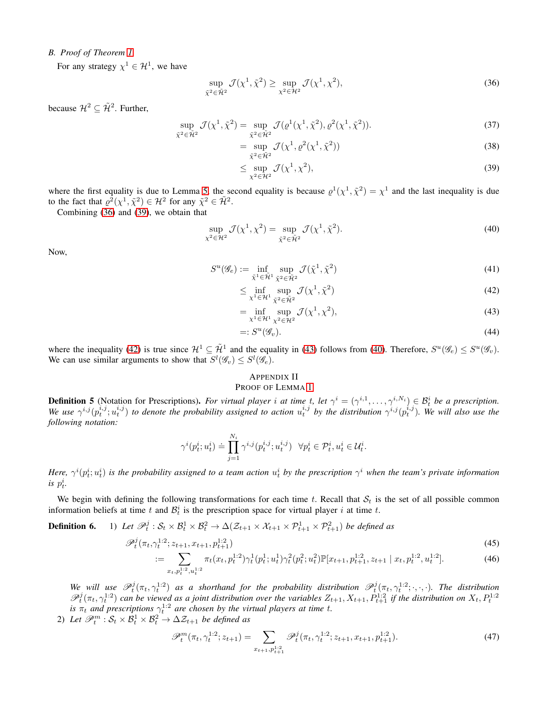# *B. Proof of Theorem [1](#page-3-1)*

For any strategy  $\chi^1 \in \mathcal{H}^1$ , we have

$$
\sup_{\tilde{\chi}^2 \in \tilde{\mathcal{H}}^2} \mathcal{J}(\chi^1, \tilde{\chi}^2) \ge \sup_{\chi^2 \in \mathcal{H}^2} \mathcal{J}(\chi^1, \chi^2),\tag{36}
$$

because  $\mathcal{H}^2 \subseteq \tilde{\mathcal{H}}^2$ . Further,

$$
\sup_{\tilde{\chi}^2 \in \tilde{\mathcal{H}}^2} \mathcal{J}(\chi^1, \tilde{\chi}^2) = \sup_{\tilde{\chi}^2 \in \tilde{\mathcal{H}}^2} \mathcal{J}(\varrho^1(\chi^1, \tilde{\chi}^2), \varrho^2(\chi^1, \tilde{\chi}^2)).
$$
\n(37)

<span id="page-10-1"></span>
$$
= \sup_{\tilde{\chi}^2 \in \tilde{\mathcal{H}}^2} \mathcal{J}(\chi^1, \varrho^2(\chi^1, \tilde{\chi}^2))
$$
\n(38)

<span id="page-10-5"></span><span id="page-10-2"></span>
$$
\leq \sup_{\chi^2 \in \mathcal{H}^2} \mathcal{J}(\chi^1, \chi^2),\tag{39}
$$

where the first equality is due to Lemma [5,](#page-9-1) the second equality is because  $\varrho^1(\chi^1, \tilde{\chi}^2) = \chi^1$  and the last inequality is due to the fact that  $\varrho^2(\chi^1, \tilde{\chi}^2) \in \mathcal{H}^2$  for any  $\tilde{\chi}^2 \in \tilde{\mathcal{H}}^2$ .

Combining [\(36\)](#page-10-1) and [\(39\)](#page-10-2), we obtain that

$$
\sup_{\chi^2 \in \mathcal{H}^2} \mathcal{J}(\chi^1, \chi^2) = \sup_{\tilde{\chi}^2 \in \tilde{\mathcal{H}}^2} \mathcal{J}(\chi^1, \tilde{\chi}^2). \tag{40}
$$

Now,

$$
S^u(\mathscr{G}_e) := \inf_{\tilde{\chi}^1 \in \tilde{\mathcal{H}}^1} \sup_{\tilde{\chi}^2 \in \tilde{\mathcal{H}}^2} \mathcal{J}(\tilde{\chi}^1, \tilde{\chi}^2)
$$
(41)

<span id="page-10-3"></span>
$$
\leq \inf_{\chi^1 \in \mathcal{H}^1} \sup_{\tilde{\chi}^2 \in \tilde{\mathcal{H}}^2} \mathcal{J}(\chi^1, \tilde{\chi}^2)
$$
\n(42)

<span id="page-10-4"></span>
$$
= \inf_{\chi^1 \in \mathcal{H}^1} \sup_{\chi^2 \in \mathcal{H}^2} \mathcal{J}(\chi^1, \chi^2), \tag{43}
$$

$$
=:S^u(\mathscr{G}_v). \tag{44}
$$

where the inequality [\(42\)](#page-10-3) is true since  $\mathcal{H}^1 \subseteq \tilde{\mathcal{H}}^1$  and the equality in [\(43\)](#page-10-4) follows from [\(40\)](#page-10-5). Therefore,  $S^u(\mathscr{G}_e) \leq S^u(\mathscr{G}_v)$ . We can use similar arguments to show that  $S^l(\mathcal{G}_v) \leq S^l(\mathcal{G}_e)$ .

# <span id="page-10-7"></span><span id="page-10-6"></span><span id="page-10-0"></span>APPENDIX II

### PROOF OF LEMMA [1](#page-3-2)

<span id="page-10-8"></span>**Definition 5** (Notation for Prescriptions). *For virtual player i at time t*, *let*  $\gamma^i = (\gamma^{i,1}, \dots, \gamma^{i,N_i}) \in \mathcal{B}_t^i$  *be a prescription.* We use  $\gamma^{i,j}(p_t^{i,j}; u_t^{i,j})$  to denote the probability assigned to action  $u_t^{i,j}$  by the distribution  $\gamma^{i,j}(p_t^{i,j})$ . We will also use the *following notation:*

$$
\gamma^{i}(p_t^i; u_t^i) \doteq \prod_{j=1}^{N_i} \gamma^{i,j}(p_t^{i,j}; u_t^{i,j}) \quad \forall p_t^i \in \mathcal{P}_t^i, u_t^i \in \mathcal{U}_t^i.
$$

Here,  $\gamma^i(p_t^i; u_t^i)$  is the probability assigned to a team action  $u_t^i$  by the prescription  $\gamma^i$  when the team's private information *is*  $p_t^i$ .

We begin with defining the following transformations for each time t. Recall that  $S_t$  is the set of all possible common information beliefs at time t and  $\mathcal{B}_t^i$  is the prescription space for virtual player i at time t.

**Definition 6.** 1) Let  $\mathscr{P}_t^j : \mathcal{S}_t \times \mathcal{B}_t^1 \times \mathcal{B}_t^2 \to \Delta(\mathcal{Z}_{t+1} \times \mathcal{X}_{t+1} \times \mathcal{P}_{t+1}^1 \times \mathcal{P}_{t+1}^2)$  be defined as

$$
\mathscr{P}_t^j(\pi_t, \gamma_t^{1:2}; z_{t+1}, x_{t+1}, p_{t+1}^{1:2})
$$
\n
$$
(45)
$$

$$
:= \sum_{x_t, p_t^{1:2}, u_t^{1:2}} \pi_t(x_t, p_t^{1:2}) \gamma_t^1(p_t^1; u_t^1) \gamma_t^2(p_t^2; u_t^2) \mathbb{P}[x_{t+1}, p_{t+1}^{1:2}, z_{t+1} | x_t, p_t^{1:2}, u_t^{1:2}]. \tag{46}
$$

We will use  $\mathscr{P}_t^j(\pi_t, \gamma_t^{1:2})$  as a shorthand for the probability distribution  $\mathscr{P}_t^j(\pi_t, \gamma_t^{1:2}; \cdot, \cdot, \cdot)$ . The distribution  $\mathcal{P}_t^j(\pi_t, \gamma_t^{1:2})$  can be viewed as a joint distribution over the variables  $Z_{t+1}, X_{t+1}, P_{t+1}^{1:2}$  if the distribution on  $X_t, P_t^{1:2}$  is  $\pi_t$  and prescriptions  $\gamma_t^{1:2}$  are chosen by the virtual players at tim

2) Let  $\mathscr{P}_t^m : \mathcal{S}_t \times \mathcal{B}_t^1 \times \mathcal{B}_t^2 \to \Delta \mathcal{Z}_{t+1}$  be defined as

$$
\mathscr{P}_t^m(\pi_t, \gamma_t^{1:2}; z_{t+1}) = \sum_{x_{t+1}, p_{t+1}^{1:2}} \mathscr{P}_t^j(\pi_t, \gamma_t^{1:2}; z_{t+1}, x_{t+1}, p_{t+1}^{1:2}). \tag{47}
$$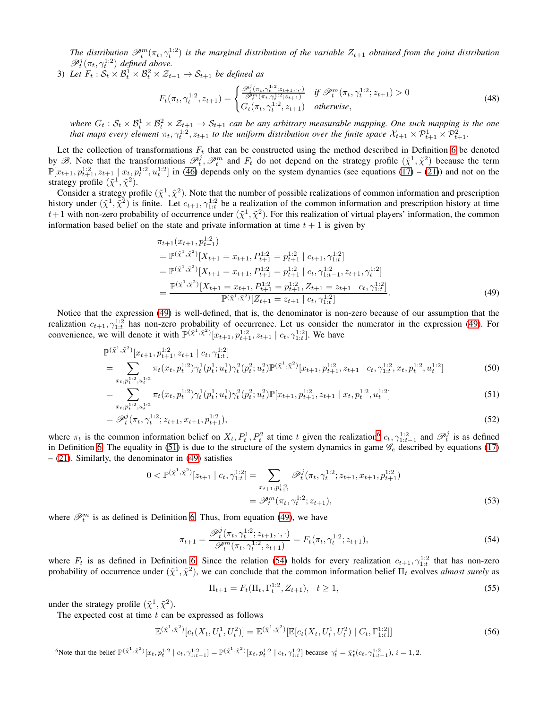The distribution  $\mathcal{P}_t^m(\pi_t, \gamma_t^{1:2})$  is the marginal distribution of the variable  $Z_{t+1}$  obtained from the joint distribution  $\mathscr{P}_t^j(\pi_t,\gamma_t^{1:2})$  defined above.

3) Let  $F_t : S_t \times \mathcal{B}_t^1 \times \mathcal{B}_t^2 \times \mathcal{Z}_{t+1} \to \mathcal{S}_{t+1}$  be defined as

$$
F_t(\pi_t, \gamma_t^{1:2}, z_{t+1}) = \begin{cases} \frac{\mathcal{P}_t^i(\pi_t, \gamma_t^{1:2}; z_{t+1}, \cdot, \cdot)}{\mathcal{P}_t^m(\pi_t, \gamma_t^{1:2}; z_{t+1})} & \text{if } \mathcal{P}_t^m(\pi_t, \gamma_t^{1:2}; z_{t+1}) > 0\\ G_t(\pi_t, \gamma_t^{1:2}, z_{t+1}) & \text{otherwise,} \end{cases} \tag{48}
$$

where  $G_t: S_t \times B_t^1 \times B_t^2 \times \mathcal{Z}_{t+1} \to \mathcal{S}_{t+1}$  can be any arbitrary measurable mapping. One such mapping is the one that maps every element  $\pi_t, \gamma_t^{1:2}, z_{t+1}$  to the uniform distribution over the finite space  $\mathcal{X}_{t+1} \times \mathcal{P}_{t+1}^1 \times \mathcal{P}_{t+1}^2$ .

Let the collection of transformations  $F_t$  that can be constructed using the method described in Definition 6 be denoted by B. Note that the transformations  $\mathcal{P}_t^j$ ,  $\mathcal{P}_t^m$  and  $F_t$  do not depend on the strategy profile  $(\tilde{\chi}^1, \tilde{\chi}^2)$  because the term  $\mathbb{P}[x_{t+1}, p_{t+1}^{1:2}, z_{t+1} \mid x_t, p_t^{1:2}, u_t^{1:2}]$  in [\(46\)](#page-10-6) depends only on the system dynamics (see equations [\(17\)](#page-8-1) – [\(21\)](#page-8-2)) and not on the strategy profile  $(\tilde{\chi}^1, \tilde{\chi}^2)$ .

Consider a strategy profile  $(\tilde{\chi}^1, \tilde{\chi}^2)$ . Note that the number of possible realizations of common information and prescription history under  $(\tilde{\chi}^1, \tilde{\chi}^2)$  is finite. Let  $c_{t+1}, \gamma_{1:t}^{1:2}$  be a realization of the common information and prescription history at time  $t+1$  with non-zero probability of occurrence under  $(\tilde{\chi}^1, \tilde{\chi}^2)$ . For this realization of virtual players' information, the common information based belief on the state and private information at time  $t + 1$  is given by

<span id="page-11-0"></span>
$$
\pi_{t+1}(x_{t+1}, p_{t+1}^{1:2})
$$
\n
$$
= \mathbb{P}^{(\tilde{\chi}^1, \tilde{\chi}^2)} [X_{t+1} = x_{t+1}, p_{t+1}^{1:2} = p_{t+1}^{1:2} | c_{t+1}, \gamma_{1:t}^{1:2}]
$$
\n
$$
= \mathbb{P}^{(\tilde{\chi}^1, \tilde{\chi}^2)} [X_{t+1} = x_{t+1}, p_{t+1}^{1:2} = p_{t+1}^{1:2} | c_t, \gamma_{1:t-1}^{1:2}, z_{t+1}, \gamma_t^{1:2}]
$$
\n
$$
= \frac{\mathbb{P}^{(\tilde{\chi}^1, \tilde{\chi}^2)} [X_{t+1} = x_{t+1}, p_{t+1}^{1:2} = p_{t+1}^{1:2}, Z_{t+1} = z_{t+1} | c_t, \gamma_{1:t}^{1:2}]}{\mathbb{P}^{(\tilde{\chi}^1, \tilde{\chi}^2)} [Z_{t+1} = z_{t+1} | c_t, \gamma_{1:t}^{1:2}]}. \tag{49}
$$

Notice that the expression [\(49\)](#page-11-0) is well-defined, that is, the denominator is non-zero because of our assumption that the realization  $c_{t+1}, \gamma_{1:t}^{1:2}$  has non-zero probability of occurrence. Let us consider the numerator in the expression [\(49\)](#page-11-0). For convenience, we will denote it with  $\mathbb{P}^{(\tilde{\chi}^1, \tilde{\chi}^2)}[x_{t+1}, p_{t+1}^{1:2}, z_{t+1} | c_t, \gamma_{1:t}^{1:2}].$  We have

$$
\mathbb{P}^{(\tilde{\chi}^1, \tilde{\chi}^2)}[x_{t+1}, p_{t+1}^{1:2}, z_{t+1} | c_t, \gamma_{1:t}^{1:2}]
$$
\n
$$
= \sum_{t,s=1,2} \pi_t(x_t, p_t^{1:2}) \gamma_t^1(p_t^1; u_t^1) \gamma_t^2(p_t^2; u_t^2) \mathbb{P}^{(\tilde{\chi}^1, \tilde{\chi}^2)}[x_{t+1}, p_{t+1}^{1:2}, z_{t+1} | c_t, \gamma_{1:t}^{1:2}, x_t, p_t^{1:2}, u_t^{1:2}]
$$
\n(50)

$$
= \sum_{x_t, p_t^{1:2}, u_t^{1:2}}^{x_t, p_t^{1:2}, u_t^{1:2}} \pi_t(x_t, p_t^{1:2}) \gamma_t^1(p_t^1; u_t^1) \gamma_t^2(p_t^2; u_t^2) \mathbb{P}[x_{t+1}, p_{t+1}^{1:2}, z_{t+1} | x_t, p_t^{1:2}, u_t^{1:2}]
$$
\n
$$
(51)
$$

$$
= \mathscr{P}_t^j(\pi_t, \gamma_t^{1:2}; z_{t+1}, x_{t+1}, p_{t+1}^{1:2}), \tag{52}
$$

where  $\pi_t$  is the common information belief on  $X_t$ ,  $P_t^1$ ,  $P_t^2$  at time t given the realization<sup>[6](#page-11-1)</sup>  $c_t$ ,  $\gamma_{1:t-1}^{1:2}$  and  $\mathscr{P}_t^j$  is as defined in Definition 6. The equality in [\(51\)](#page-11-2) is due to the structure of the system dynamics in game  $\mathcal{G}_e$  described by equations [\(17\)](#page-8-1)  $-$  [\(21\)](#page-8-2). Similarly, the denominator in [\(49\)](#page-11-0) satisfies

$$
0 < \mathbb{P}^{(\tilde{\chi}^1, \tilde{\chi}^2)}[z_{t+1} \mid c_t, \gamma_{1:t}^{1:2}] = \sum_{x_{t+1}, p_{t+1}^{1:2}} \mathcal{P}_t^j(\pi_t, \gamma_t^{1:2}; z_{t+1}, x_{t+1}, p_{t+1}^{1:2})
$$
\n
$$
= \mathcal{P}_t^m(\pi_t, \gamma_t^{1:2}; z_{t+1}), \tag{53}
$$

where  $\mathcal{P}_t^m$  is as defined is Definition 6. Thus, from equation [\(49\)](#page-11-0), we have

<span id="page-11-3"></span><span id="page-11-2"></span>
$$
\pi_{t+1} = \frac{\mathcal{P}_t^j(\pi_t, \gamma_t^{1:2}; z_{t+1}, \cdot, \cdot)}{\mathcal{P}_t^m(\pi_t, \gamma_t^{1:2}, z_{t+1})} = F_t(\pi_t, \gamma_t^{1:2}; z_{t+1}),
$$
\n(54)

where  $F_t$  is as defined in Definition 6. Since the relation [\(54\)](#page-11-3) holds for every realization  $c_{t+1}$ ,  $\gamma_{1:t}^{1:2}$  that has non-zero probability of occurrence under  $({\tilde \chi}^1, {\tilde \chi}^2)$ , we can conclude that the common information belief  $\Pi_t$  evolves *almost surely* as

<span id="page-11-4"></span>
$$
\Pi_{t+1} = F_t(\Pi_t, \Gamma_t^{1:2}, Z_{t+1}), \quad t \ge 1,
$$
\n(55)

under the strategy profile  $(\tilde{\chi}^1, \tilde{\chi}^2)$ .

The expected cost at time  $t$  can be expressed as follows

$$
\mathbb{E}^{(\tilde{\chi}^1, \tilde{\chi}^2)}[c_t(X_t, U_t^1, U_t^2)] = \mathbb{E}^{(\tilde{\chi}^1, \tilde{\chi}^2)}[\mathbb{E}[c_t(X_t, U_t^1, U_t^2) | C_t, \Gamma_{1:t}^{1:2}]] \tag{56}
$$

<span id="page-11-1"></span>When the belief  $\mathbb{P}^{(\tilde{\chi}^1, \tilde{\chi}^2)}[x_t, p_t^{1:2} | c_t, \gamma_{1:t-1}^{1:2}] = \mathbb{P}^{(\tilde{\chi}^1, \tilde{\chi}^2)}[x_t, p_t^{1:2} | c_t, \gamma_{1:t}^{1:2}]$  because  $\gamma_t^i = \tilde{\chi}_t^i(c_t, \gamma_{1:t-1}^{1:2}), i = 1, 2$ .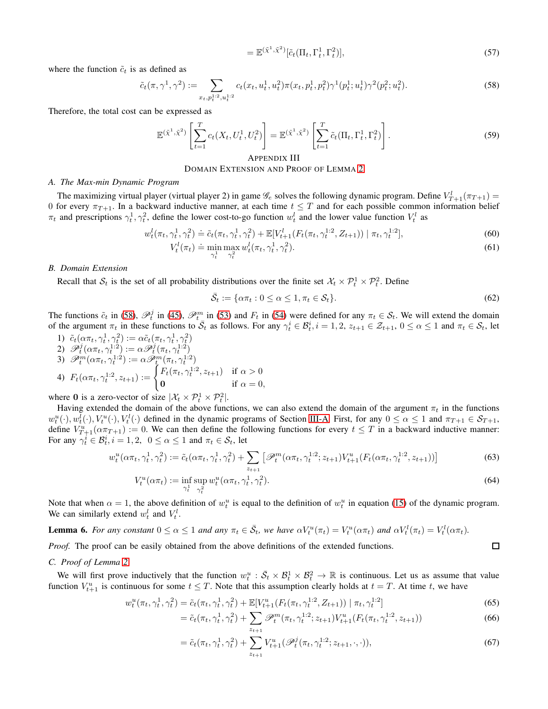<span id="page-12-0"></span>
$$
= \mathbb{E}^{(\tilde{\chi}^1, \tilde{\chi}^2)} [\tilde{c}_t(\Pi_t, \Gamma_t^1, \Gamma_t^2)], \qquad (57)
$$

where the function  $\tilde{c}_t$  is as defined as

$$
\tilde{c}_t(\pi, \gamma^1, \gamma^2) := \sum_{x_t, p_t^{1:2}, u_t^{1:2}} c_t(x_t, u_t^1, u_t^2) \pi(x_t, p_t^1, p_t^2) \gamma^1(p_t^1; u_t^1) \gamma^2(p_t^2; u_t^2).
$$
\n(58)

Therefore, the total cost can be expressed as

$$
\mathbb{E}^{(\tilde{\chi}^1, \tilde{\chi}^2)} \left[ \sum_{t=1}^T c_t(X_t, U_t^1, U_t^2) \right] = \mathbb{E}^{(\tilde{\chi}^1, \tilde{\chi}^2)} \left[ \sum_{t=1}^T \tilde{c}_t(\Pi_t, \Gamma_t^1, \Gamma_t^2) \right].
$$
 (59)

# <span id="page-12-1"></span>APPENDIX III DOMAIN EXTENSION AND PROOF OF LEMMA [2](#page-4-1)

### *A. The Max-min Dynamic Program*

The maximizing virtual player (virtual player 2) in game  $\mathscr{G}_e$  solves the following dynamic program. Define  $V_{T+1}^l(\pi_{T+1}) =$ 0 for every  $\pi_{T+1}$ . In a backward inductive manner, at each time  $t \leq T$  and for each possible common information belief  $\pi_t$  and prescriptions  $\gamma_t^1, \gamma_t^2$ , define the lower cost-to-go function  $w_t^l$  and the lower value function  $V_t^l$  as

$$
w_t^l(\pi_t, \gamma_t^1, \gamma_t^2) \doteq \tilde{c}_t(\pi_t, \gamma_t^1, \gamma_t^2) + \mathbb{E}[V_{t+1}^l(F_t(\pi_t, \gamma_t^{1:2}, Z_{t+1})) | \pi_t, \gamma_t^{1:2}], \tag{60}
$$

$$
V_t^l(\pi_t) \doteq \min_{\gamma_t^1} \max_{\gamma_t^2} w_t^l(\pi_t, \gamma_t^1, \gamma_t^2). \tag{61}
$$

#### *B. Domain Extension*

Recall that  $S_t$  is the set of all probability distributions over the finite set  $X_t \times \mathcal{P}_t^1 \times \mathcal{P}_t^2$ . Define

$$
\bar{\mathcal{S}}_t := \{ \alpha \pi_t : 0 \le \alpha \le 1, \pi_t \in \mathcal{S}_t \}. \tag{62}
$$

The functions  $\tilde{c}_t$  in [\(58\)](#page-12-0),  $\mathscr{P}_t^j$  in [\(45\)](#page-10-7),  $\mathscr{P}_t^m$  in [\(53\)](#page-11-4) and  $F_t$  in [\(54\)](#page-11-3) were defined for any  $\pi_t \in \mathcal{S}_t$ . We will extend the domain of the argument  $\pi_t$  in these functions to  $\overline{S}_t$  as follows. For any  $\gamma_t^i \in \mathcal{B}_t^i$ ,  $i = 1, 2, z_{t+1} \in \mathcal{Z}_{t+1}$ ,  $0 \le \alpha \le 1$  and  $\pi_t \in \mathcal{S}_t$ , let

1)  $\tilde{c}_t(\alpha \pi_t, \gamma_t^1, \gamma_t^2) := \alpha \tilde{c}_t(\pi_t, \gamma_t^1, \gamma_t^2)$  $\mathscr{D}_t^j(\alpha \pi_t, \gamma_t^{1:2}) := \alpha \mathscr{D}_t^j(\pi_t, \gamma_t^{1:2})$ 3)  $\mathscr{P}_t^m(\alpha \pi_t, \gamma_t^{1:2}) := \alpha \mathscr{P}_t^m(\pi_t, \gamma_t^{1:2})$ 4)  $F_t(\alpha \pi_t, \gamma_t^{1:2}, z_{t+1}) := \begin{cases} F_t(\pi_t, \gamma_t^{1:2}, z_{t+1}) & \text{if } \alpha > 0 \\ 0 & \text{if } \alpha > 0 \end{cases}$ 0 if  $\alpha = 0$ ,

where 0 is a zero-vector of size  $|\mathcal{X}_t \times \mathcal{P}_t^1 \times \mathcal{P}_t^2|$ .

Having extended the domain of the above functions, we can also extend the domain of the argument  $\pi_t$  in the functions  $w_t^u(\cdot), w_t^l(\cdot), V_t^u(\cdot), V_t^l(\cdot)$  defined in the dynamic programs of Section [III-A.](#page-3-4) First, for any  $0 \le \alpha \le 1$  and  $\pi_{T+1} \in \mathcal{S}_{T+1}$ , define  $V_{T+1}^u(\alpha \pi_{T+1}) := 0$ . We can then define the following functions for every  $t \leq T$  in a backward inductive manner: For any  $\gamma_t^i \in \mathcal{B}_t^i$ ,  $i = 1, 2, 0 \le \alpha \le 1$  and  $\pi_t \in \mathcal{S}_t$ , let

$$
w_t^u(\alpha \pi_t, \gamma_t^1, \gamma_t^2) := \tilde{c}_t(\alpha \pi_t, \gamma_t^1, \gamma_t^2) + \sum_{z_{t+1}} \left[ \mathcal{P}_t^m(\alpha \pi_t, \gamma_t^{1:2}; z_{t+1}) V_{t+1}^u(F_t(\alpha \pi_t, \gamma_t^{1:2}; z_{t+1})) \right]
$$
(63)

$$
V_t^u(\alpha \pi_t) := \inf_{\gamma_t^1} \sup_{\gamma_t^2} w_t^u(\alpha \pi_t, \gamma_t^1, \gamma_t^2).
$$
\n(64)

Note that when  $\alpha = 1$ , the above definition of  $w_t^u$  is equal to the definition of  $w_t^u$  in equation [\(15\)](#page-4-3) of the dynamic program. We can similarly extend  $w_t^l$  and  $V_t^l$ .

<span id="page-12-2"></span>**Lemma 6.** For any constant  $0 \le \alpha \le 1$  and any  $\pi_t \in \overline{S}_t$ , we have  $\alpha V_t^u(\pi_t) = V_t^u(\alpha \pi_t)$  and  $\alpha V_t^l(\pi_t) = V_t^l(\alpha \pi_t)$ .

*Proof.* The proof can be easily obtained from the above definitions of the extended functions.

### *C. Proof of Lemma [2](#page-4-1)*

We will first prove inductively that the function  $w_t^u : \overline{S}_t \times \mathcal{B}_t^1 \times \mathcal{B}_t^2 \to \mathbb{R}$  is continuous. Let us as assume that value function  $V_{t+1}^u$  is continuous for some  $t \leq T$ . Note that this assumption clearly holds at  $t = T$ . At time t, we have

$$
w_t^u(\pi_t, \gamma_t^1, \gamma_t^2) = \tilde{c}_t(\pi_t, \gamma_t^1, \gamma_t^2) + \mathbb{E}[V_{t+1}^u(F_t(\pi_t, \gamma_t^{1:2}, Z_{t+1})) | \pi_t, \gamma_t^{1:2}]
$$
\n(65)

$$
= \tilde{c}_t(\pi_t, \gamma_t^1, \gamma_t^2) + \sum_{z_{t+1}} \mathscr{P}_t^m(\pi_t, \gamma_t^{1:2}; z_{t+1}) V_{t+1}^u(F_t(\pi_t, \gamma_t^{1:2}, z_{t+1}))
$$
\n(66)

$$
= \tilde{c}_t(\pi_t, \gamma_t^1, \gamma_t^2) + \sum_{z_{t+1}} V_{t+1}^u(\mathscr{P}_t^j(\pi_t, \gamma_t^{1:2}; z_{t+1}, \cdot, \cdot)),\tag{67}
$$

<span id="page-12-3"></span> $\Box$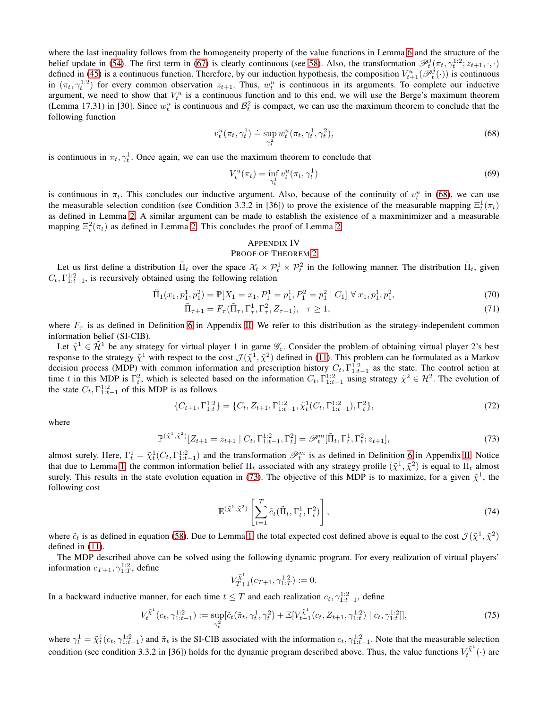where the last inequality follows from the homogeneity property of the value functions in Lemma [6](#page-12-2) and the structure of the belief update in [\(54\)](#page-11-3). The first term in [\(67\)](#page-12-3) is clearly continuous (see [58\)](#page-12-0). Also, the transformation  $\mathscr{P}_t^j(\pi_t, \gamma_t^{1:2}; z_{t+1}, \cdot, \cdot)$ defined in [\(45\)](#page-10-7) is a continuous function. Therefore, by our induction hypothesis, the composition  $V_{t+1}^u(\mathscr{P}_t^j(\cdot))$  is continuous in  $(\pi_t, \gamma_t^{1:2})$  for every common observation  $z_{t+1}$ . Thus,  $w_t^u$  is continuous in its arguments. To complete our inductive argument, we need to show that  $V_t^u$  is a continuous function and to this end, we will use the Berge's maximum theorem (Lemma 17.31) in [30]. Since  $w_t^u$  is continuous and  $\mathcal{B}_t^2$  is compact, we can use the maximum theorem to conclude that the following function

$$
v_t^u(\pi_t, \gamma_t^1) \doteq \sup_{\gamma_t^2} w_t^u(\pi_t, \gamma_t^1, \gamma_t^2), \tag{68}
$$

is continuous in  $\pi_t, \gamma_t^1$ . Once again, we can use the maximum theorem to conclude that

<span id="page-13-1"></span>
$$
V_t^u(\pi_t) = \inf_{\gamma_t^1} v_t^u(\pi_t, \gamma_t^1) \tag{69}
$$

is continuous in  $\pi_t$ . This concludes our inductive argument. Also, because of the continuity of  $v_t^u$  in [\(68\)](#page-13-1), we can use the measurable selection condition (see Condition 3.3.2 in [36]) to prove the existence of the measurable mapping  $\Xi_t^1(\pi_t)$ as defined in Lemma [2.](#page-4-1) A similar argument can be made to establish the existence of a maxminimizer and a measurable mapping  $\Xi_t^2(\pi_t)$  as defined in Lemma [2.](#page-4-1) This concludes the proof of Lemma 2.

### <span id="page-13-0"></span>APPENDIX IV

### PROOF OF THEOREM [2](#page-4-0)

Let us first define a distribution  $\tilde{\Pi}_t$  over the space  $\mathcal{X}_t \times \mathcal{P}_t^1 \times \mathcal{P}_t^2$  in the following manner. The distribution  $\tilde{\Pi}_t$ , given  $C_t, \Gamma_{1:t-1}^{1:2}$ , is recursively obtained using the following relation

$$
\tilde{\Pi}_1(x_1, p_1^1, p_1^2) = \mathbb{P}[X_1 = x_1, P_1^1 = p_1^1, P_1^2 = p_1^2 \mid C_1] \,\forall \, x_1, p_1^1, p_1^2,\tag{70}
$$

$$
\tilde{\Pi}_{\tau+1} = F_{\tau}(\tilde{\Pi}_{\tau}, \Gamma_{\tau}^1, \Gamma_{\tau}^2, Z_{\tau+1}), \quad \tau \ge 1,
$$
\n<sup>(71)</sup>

where  $F<sub>\tau</sub>$  is as defined in Definition 6 in Appendix [II.](#page-10-0) We refer to this distribution as the strategy-independent common information belief (SI-CIB).

Let  $\tilde{\chi}^1 \in \tilde{\mathcal{H}}^1$  be any strategy for virtual player 1 in game  $\mathscr{G}_e$ . Consider the problem of obtaining virtual player 2's best response to the strategy  $\tilde{\chi}^1$  with respect to the cost  $\mathcal{J}(\tilde{\chi}^1, \tilde{\chi}^2)$  defined in [\(11\)](#page-3-5). This problem can be formulated as a Markov decision process (MDP) with common information and prescription history  $C_t$ ,  $\Gamma^{1:2}_{1:t-1}$  as the state. The control action at time t in this MDP is  $\Gamma_t^2$ , which is selected based on the information  $C_t$ ,  $\Gamma_{1:t-1}^{1:2}$  using strategy  $\tilde{\chi}^2 \in \mathcal{H}^2$ . The evolution of the state  $C_t$ ,  $\Gamma^{1:2}_{1:t-1}$  of this MDP is as follows

$$
\{C_{t+1}, \Gamma_{1:t}^{1:2}\} = \{C_t, Z_{t+1}, \Gamma_{1:t-1}^{1:2}, \tilde{\chi}_t^1(C_t, \Gamma_{1:t-1}^{1:2}), \Gamma_t^2\},\tag{72}
$$

where

$$
\mathbb{P}^{(\tilde{\chi}^1, \tilde{\chi}^2)}[Z_{t+1} = z_{t+1} | C_t, \Gamma_{1:t-1}^{1:2}, \Gamma_t^2] = \mathscr{P}_t^m[\tilde{\Pi}_t, \Gamma_t^1, \Gamma_t^2; z_{t+1}],
$$
\n(73)

almost surely. Here,  $\Gamma_t^1 = \tilde{\chi}_t^1(C_t, \Gamma_{1:t-1}^{1:2})$  and the transformation  $\mathcal{P}_t^m$  is as defined in Definition 6 in Appendix [II.](#page-10-0) Notice that due to Lemma [1,](#page-3-2) the common information belief  $\Pi_t$  associated with any strategy profile  $(\tilde{\chi}^1, \tilde{\chi}^2)$  is equal to  $\tilde{\Pi_t}$  almost surely. This results in the state evolution equation in [\(73\)](#page-13-2). The objective of this MDP is to maximize, for a given  $\tilde{\chi}^1$ , the following cost

<span id="page-13-2"></span>
$$
\mathbb{E}^{(\tilde{\chi}^1, \tilde{\chi}^2)} \left[ \sum_{t=1}^T \tilde{c}_t (\tilde{\Pi}_t, \Gamma_t^1, \Gamma_t^2) \right], \tag{74}
$$

where  $\tilde{c}_t$  is as defined in equation [\(58\)](#page-12-0). Due to Lemma [1,](#page-3-2) the total expected cost defined above is equal to the cost  $\mathcal{J}(\tilde{\chi}^1, \tilde{\chi}^2)$ defined in [\(11\)](#page-3-5).

The MDP described above can be solved using the following dynamic program. For every realization of virtual players' information  $c_{T+1}, \gamma_{1:T}^{1:2}$ , define

<span id="page-13-3"></span>
$$
V_{T+1}^{\tilde{\chi}^1}(c_{T+1},\gamma_{1:T}^{1:2}) := 0.
$$

In a backward inductive manner, for each time  $t \leq T$  and each realization  $c_t, \gamma_{1:t-1}^{1:2}$ , define

$$
V_t^{\tilde{\chi}^1}(c_t, \gamma_{1:t-1}^{1:2}) := \sup_{\gamma_t^2} [\tilde{c}_t(\tilde{\pi}_t, \gamma_t^1, \gamma_t^2) + \mathbb{E}[V_{t+1}^{\tilde{\chi}^1}(c_t, Z_{t+1}, \gamma_{1:t}^{1:2}) | c_t, \gamma_{1:t}^{1:2}]],
$$
\n
$$
(75)
$$

where  $\gamma_t^1 = \tilde{\chi}_t^1(c_t, \gamma_{1:t-1}^{1:2})$  and  $\tilde{\pi}_t$  is the SI-CIB associated with the information  $c_t, \gamma_{1:t-1}^{1:2}$ . Note that the measurable selection condition (see condition 3.3.2 in [36]) holds for the dynamic program described above. Thus, the value functions  $V_t^{\tilde{\chi}^1}$  $t^{\chi}$   $(\cdot)$  are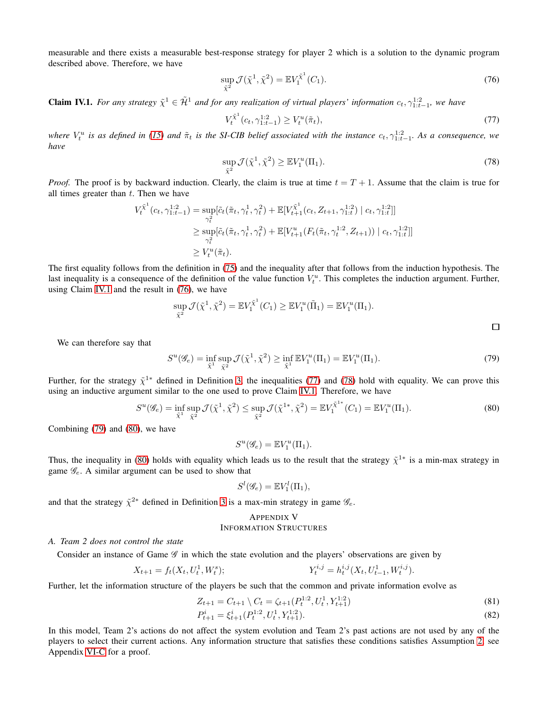measurable and there exists a measurable best-response strategy for player 2 which is a solution to the dynamic program described above. Therefore, we have

$$
\sup_{\tilde{\chi}^2} \mathcal{J}(\tilde{\chi}^1, \tilde{\chi}^2) = \mathbb{E} V_1^{\tilde{\chi}^1}(C_1).
$$
 (76)

<span id="page-14-1"></span>**Claim IV.1.** For any strategy  $\tilde{\chi}^1 \in \tilde{\mathcal{H}}^1$  and for any realization of virtual players' information  $c_t, \gamma_{1:t-1}^{1:2}$ , we have

<span id="page-14-4"></span><span id="page-14-3"></span><span id="page-14-2"></span>
$$
V_t^{\tilde{\chi}^1}(c_t, \gamma_{1:t-1}^{1:2}) \ge V_t^u(\tilde{\pi}_t), \tag{77}
$$

where  $V_t^u$  is as defined in [\(15\)](#page-4-3) and  $\tilde{\pi}_t$  is the SI-CIB belief associated with the instance  $c_t, \gamma_{1:t-1}^{1:2}$ . As a consequence, we *have*

$$
\sup_{\tilde{\chi}^2} \mathcal{J}(\tilde{\chi}^1, \tilde{\chi}^2) \ge \mathbb{E} V_1^u(\Pi_1). \tag{78}
$$

*Proof.* The proof is by backward induction. Clearly, the claim is true at time  $t = T + 1$ . Assume that the claim is true for all times greater than  $t$ . Then we have

$$
V_t^{\tilde{\chi}^1}(c_t, \gamma_{1:t-1}^{1:2}) = \sup_{\gamma_t^2} [\tilde{c}_t(\tilde{\pi}_t, \gamma_t^1, \gamma_t^2) + \mathbb{E}[V_{t+1}^{\tilde{\chi}^1}(c_t, Z_{t+1}, \gamma_{1:t}^{1:2}) | c_t, \gamma_{1:t}^{1:2}]]
$$
  
\n
$$
\geq \sup_{\gamma_t^2} [\tilde{c}_t(\tilde{\pi}_t, \gamma_t^1, \gamma_t^2) + \mathbb{E}[V_{t+1}^u(F_t(\tilde{\pi}_t, \gamma_t^{1:2}, Z_{t+1})) | c_t, \gamma_{1:t}^{1:2}]]
$$
  
\n
$$
\geq V_t^u(\tilde{\pi}_t).
$$

The first equality follows from the definition in [\(75\)](#page-13-3) and the inequality after that follows from the induction hypothesis. The last inequality is a consequence of the definition of the value function  $V_t^u$ . This completes the induction argument. Further, using Claim [IV.1](#page-14-1) and the result in [\(76\)](#page-14-2), we have

$$
\sup_{\tilde{\chi}^2} \mathcal{J}(\tilde{\chi}^1, \tilde{\chi}^2) = \mathbb{E} V_1^{\tilde{\chi}^1}(C_1) \ge \mathbb{E} V_1^u(\tilde{\Pi}_1) = \mathbb{E} V_1^u(\Pi_1).
$$

We can therefore say that

$$
S^{u}(\mathscr{G}_{e}) = \inf_{\tilde{\chi}^{1}} \sup_{\tilde{\chi}^{2}} \mathcal{J}(\tilde{\chi}^{1}, \tilde{\chi}^{2}) \ge \inf_{\tilde{\chi}^{1}} \mathbb{E} V_{1}^{u}(\Pi_{1}) = \mathbb{E} V_{1}^{u}(\Pi_{1}).
$$
\n(79)

Further, for the strategy  $\tilde{\chi}^{1*}$  defined in Definition [3,](#page-4-2) the inequalities [\(77\)](#page-14-3) and [\(78\)](#page-14-4) hold with equality. We can prove this using an inductive argument similar to the one used to prove Claim [IV.1.](#page-14-1) Therefore, we have

$$
S^{u}(\mathscr{G}_{e}) = \inf_{\tilde{\chi}^{1}} \sup_{\tilde{\chi}^{2}} \mathcal{J}(\tilde{\chi}^{1}, \tilde{\chi}^{2}) \le \sup_{\tilde{\chi}^{2}} \mathcal{J}(\tilde{\chi}^{1*}, \tilde{\chi}^{2}) = \mathbb{E}V_{1}^{\tilde{\chi}^{1*}}(C_{1}) = \mathbb{E}V_{1}^{u}(\Pi_{1}).
$$
\n(80)

Combining [\(79\)](#page-14-5) and [\(80\)](#page-14-6), we have

<span id="page-14-6"></span><span id="page-14-5"></span>
$$
S^u(\mathscr{G}_e) = \mathbb{E} V_1^u(\Pi_1).
$$

Thus, the inequality in [\(80\)](#page-14-6) holds with equality which leads us to the result that the strategy  $\tilde{\chi}^{1*}$  is a min-max strategy in game  $\mathscr{G}_e$ . A similar argument can be used to show that

$$
S^l(\mathscr{G}_e) = \mathbb{E} V_1^l(\Pi_1),
$$

and that the strategy  $\tilde{\chi}^{2*}$  defined in Definition [3](#page-4-2) is a max-min strategy in game  $\mathscr{G}_e$ .

# <span id="page-14-0"></span>APPENDIX V INFORMATION STRUCTURES

#### *A. Team 2 does not control the state*

Consider an instance of Game  $\mathscr G$  in which the state evolution and the players' observations are given by

$$
X_{t+1} = f_t(X_t, U_t^1, W_t^s); \qquad Y_t^{i,j} = h_t^{i,j}(X_t, U_{t-1}^1, W_t^{i,j}).
$$

Further, let the information structure of the players be such that the common and private information evolve as

$$
Z_{t+1} = C_{t+1} \setminus C_t = \zeta_{t+1}(P_t^{1:2}, U_t^1, Y_{t+1}^{1:2})
$$
\n(81)

$$
P_{t+1}^i = \xi_{t+1}^i (P_t^{1:2}, U_t^1, Y_{t+1}^{1:2}).
$$
\n(82)

In this model, Team 2's actions do not affect the system evolution and Team 2's past actions are not used by any of the players to select their current actions. Any information structure that satisfies these conditions satisfies Assumption [2,](#page-4-5) see Appendix [VI-C](#page-16-1) for a proof.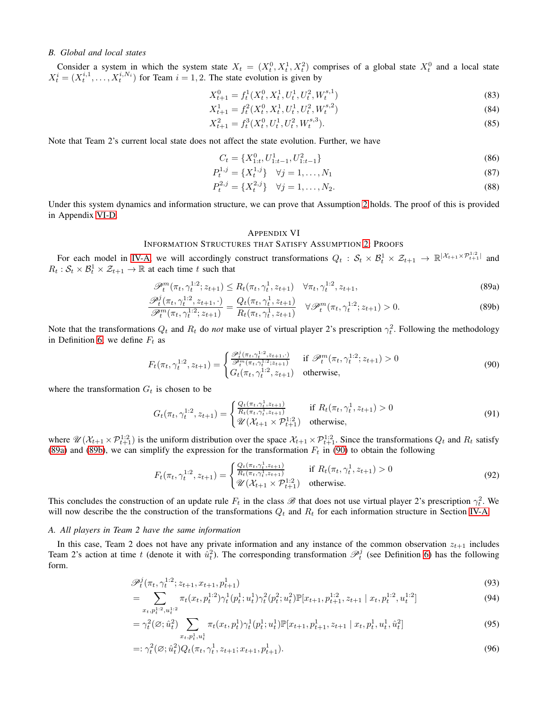## *B. Global and local states*

Consider a system in which the system state  $X_t = (X_t^0, X_t^1, X_t^2)$  comprises of a global state  $X_t^0$  and a local state  $X_t^i = (X_t^{i,1}, \ldots, X_t^{i,N_i})$  for Team  $i = 1, 2$ . The state evolution is given by

$$
X_{t+1}^0 = f_t^1(X_t^0, X_t^1, U_t^1, U_t^2, W_t^{s,1})
$$
\n(83)

$$
X_{t+1}^1 = f_t^2(X_t^0, X_t^1, U_t^1, U_t^2, W_t^{s,2})
$$
\n(84)

$$
X_{t+1}^2 = f_t^3(X_t^0, U_t^1, U_t^2, W_t^{s,3}).
$$
\n(85)

Note that Team 2's current local state does not affect the state evolution. Further, we have

$$
C_t = \{X_{1:t}^0, U_{1:t-1}^1, U_{1:t-1}^2\}
$$
\n(86)

$$
P_t^{1,j} = \{X_t^{1,j}\} \quad \forall j = 1, \dots, N_1 \tag{87}
$$

$$
P_t^{2,j} = \{X_t^{2,j}\} \quad \forall j = 1, \dots, N_2. \tag{88}
$$

Under this system dynamics and information structure, we can prove that Assumption [2](#page-4-5) holds. The proof of this is provided in Appendix [VI-D.](#page-17-1)

#### <span id="page-15-3"></span><span id="page-15-2"></span><span id="page-15-1"></span>APPENDIX VI

### INFORMATION STRUCTURES THAT SATISFY ASSUMPTION [2:](#page-4-5) PROOFS

For each model in [IV-A,](#page-4-8) we will accordingly construct transformations  $Q_t$  :  $S_t \times B_t^1 \times \mathcal{Z}_{t+1} \to \mathbb{R}^{|\mathcal{X}_{t+1} \times \mathcal{P}_{t+1}^{1:2}|}$  and  $R_t: \mathcal{S}_t \times \mathcal{B}_t^1 \times \mathcal{Z}_{t+1} \to \mathbb{R}$  at each time t such that

$$
\mathscr{P}_t^m(\pi_t, \gamma_t^{1:2}; z_{t+1}) \le R_t(\pi_t, \gamma_t^1, z_{t+1}) \quad \forall \pi_t, \gamma_t^{1:2}, z_{t+1},
$$
\n(89a)

$$
\frac{\mathcal{P}_t^j(\pi_t, \gamma_t^{1:2}, z_{t+1}, \cdot)}{\mathcal{P}_t^m(\pi_t, \gamma_t^{1:2}; z_{t+1})} = \frac{Q_t(\pi_t, \gamma_t^1, z_{t+1})}{R_t(\pi_t, \gamma_t^1, z_{t+1})} \quad \forall \mathcal{P}_t^m(\pi_t, \gamma_t^{1:2}; z_{t+1}) > 0.
$$
\n(89b)

Note that the transformations  $Q_t$  and  $R_t$  do *not* make use of virtual player 2's prescription  $\gamma_t^2$ . Following the methodology in Definition 6, we define  $F_t$  as

$$
F_t(\pi_t, \gamma_t^{1:2}, z_{t+1}) = \begin{cases} \frac{\mathcal{P}_t^j(\pi_t, \gamma_t^{1:2}, z_{t+1}, \cdot)}{\mathcal{P}_t^m(\pi_t, \gamma_t^{1:2}; z_{t+1})} & \text{if } \mathcal{P}_t^m(\pi_t, \gamma_t^{1:2}; z_{t+1}) > 0\\ G_t(\pi_t, \gamma_t^{1:2}, z_{t+1}) & \text{otherwise,} \end{cases}
$$
(90)

where the transformation  $G_t$  is chosen to be

$$
G_t(\pi_t, \gamma_t^{1:2}, z_{t+1}) = \begin{cases} \frac{Q_t(\pi_t, \gamma_t^1, z_{t+1})}{R_t(\pi_t, \gamma_t^1, z_{t+1})} & \text{if } R_t(\pi_t, \gamma_t^1, z_{t+1}) > 0\\ \mathcal{U}(\mathcal{X}_{t+1} \times \mathcal{P}_{t+1}^{1:2}) & \text{otherwise,} \end{cases}
$$
(91)

where  $\mathcal{U}(\mathcal{X}_{t+1} \times \mathcal{P}_{t+1}^{1:2})$  is the uniform distribution over the space  $\mathcal{X}_{t+1} \times \mathcal{P}_{t+1}^{1:2}$ . Since the transformations  $Q_t$  and  $R_t$  satisfy [\(89a\)](#page-15-1) and [\(89b\)](#page-15-2), we can simplify the expression for the transformation  $F_t$  in [\(90\)](#page-15-3) to obtain the following

$$
F_t(\pi_t, \gamma_t^{1:2}, z_{t+1}) = \begin{cases} \frac{Q_t(\pi_t, \gamma_t^1, z_{t+1})}{R_t(\pi_t, \gamma_t^1, z_{t+1})} & \text{if } R_t(\pi_t, \gamma_t^1, z_{t+1}) > 0\\ \mathcal{U}(\mathcal{X}_{t+1} \times \mathcal{P}_{t+1}^{1:2}) & \text{otherwise.} \end{cases}
$$
(92)

This concludes the construction of an update rule  $F_t$  in the class  $\mathscr B$  that does not use virtual player 2's prescription  $\gamma_t^2$ . We will now describe the the construction of the transformations  $Q_t$  and  $R_t$  for each information structure in Section [IV-A.](#page-4-8)

### <span id="page-15-0"></span>*A. All players in Team 2 have the same information*

In this case, Team 2 does not have any private information and any instance of the common observation  $z_{t+1}$  includes Team 2's action at time t (denote it with  $\hat{u}_t^2$ ). The corresponding transformation  $\mathcal{P}_t^j$  (see Definition 6) has the following form.

$$
\mathcal{P}_t^j(\pi_t, \gamma_t^{1:2}; z_{t+1}, x_{t+1}, p_{t+1}^1)
$$
\n(93)

$$
= \sum_{x_t, p_t^{1:2}, u_t^{1:2}} \pi_t(x_t, p_t^{1:2}) \gamma_t^1(p_t^1; u_t^1) \gamma_t^2(p_t^2; u_t^2) \mathbb{P}[x_{t+1}, p_{t+1}^{1:2}, z_{t+1} | x_t, p_t^{1:2}, u_t^{1:2}]
$$
\n(94)

$$
= \gamma_t^2(\emptyset; \hat{u}_t^2) \sum_{x_t, p_t^1, u_t^1} \pi_t(x_t, p_t^1) \gamma_t^1(p_t^1; u_t^1) \mathbb{P}[x_{t+1}, p_{t+1}^1, z_{t+1} | x_t, p_t^1, u_t^1, \hat{u}_t^2]
$$
(95)

<span id="page-15-4"></span>
$$
=:\gamma_t^2(\varnothing;\hat{u}_t^2)Q_t(\pi_t,\gamma_t^1,z_{t+1};x_{t+1},p_{t+1}^1).
$$
\n(96)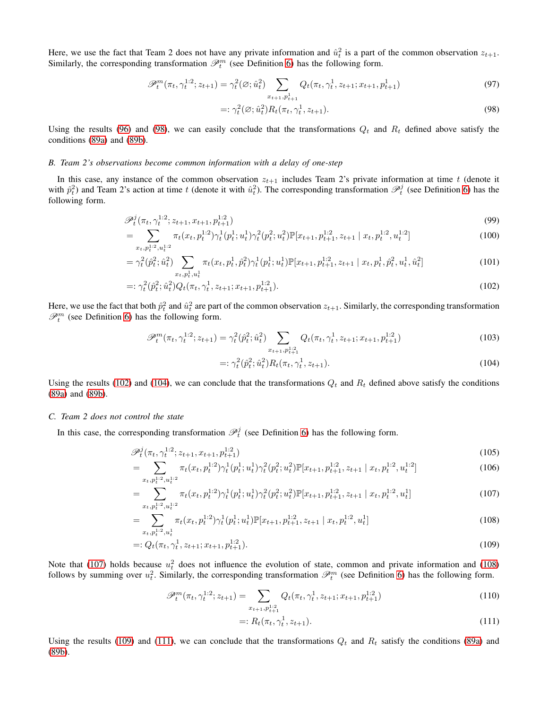Here, we use the fact that Team 2 does not have any private information and  $\hat{u}_t^2$  is a part of the common observation  $z_{t+1}$ . Similarly, the corresponding transformation  $\mathcal{P}_t^m$  (see Definition 6) has the following form.

$$
\mathcal{P}_t^m(\pi_t, \gamma_t^{1:2}; z_{t+1}) = \gamma_t^2(\varnothing; \hat{u}_t^2) \sum_{x_{t+1}, p_{t+1}^1} Q_t(\pi_t, \gamma_t^1, z_{t+1}; x_{t+1}, p_{t+1}^1)
$$
\n(97)

<span id="page-16-2"></span>
$$
=:\gamma_t^2(\varnothing;\hat{u}_t^2)R_t(\pi_t,\gamma_t^1,z_{t+1}).\tag{98}
$$

Using the results [\(96\)](#page-15-4) and [\(98\)](#page-16-2), we can easily conclude that the transformations  $Q_t$  and  $R_t$  defined above satisfy the conditions [\(89a\)](#page-15-1) and [\(89b\)](#page-15-2).

### <span id="page-16-0"></span>*B. Team 2's observations become common information with a delay of one-step*

In this case, any instance of the common observation  $z_{t+1}$  includes Team 2's private information at time t (denote it with  $\hat{p}_t^2$ ) and Team 2's action at time t (denote it with  $\hat{u}_t^2$ ). The corresponding transformation  $\mathcal{P}_t^j$  (see Definition 6) has the following form.

$$
\mathcal{P}_t^j(\pi_t, \gamma_t^{1:2}; z_{t+1}, x_{t+1}, p_{t+1}^{1:2})
$$
\n(99)

$$
= \sum_{x_t, p_t^{1:2}, u_t^{1:2}} \pi_t(x_t, p_t^{1:2}) \gamma_t^1(p_t^1; u_t^1) \gamma_t^2(p_t^2; u_t^2) \mathbb{P}[x_{t+1}, p_{t+1}^{1:2}, z_{t+1} | x_t, p_t^{1:2}, u_t^{1:2}]
$$
\n(100)

$$
= \gamma_t^2(\hat{p}_t^2; \hat{u}_t^2) \sum_{x_t, p_t^1, u_t^1} \pi_t(x_t, p_t^1, \hat{p}_t^2) \gamma_t^1(p_t^1; u_t^1) \mathbb{P}[x_{t+1}, p_{t+1}^{1:2}, z_{t+1} | x_t, p_t^1, \hat{p}_t^2, u_t^1, \hat{u}_t^2]
$$
(101)

$$
=:\gamma_t^2(\hat{p}_t^2;\hat{u}_t^2)Q_t(\pi_t,\gamma_t^1,z_{t+1};x_{t+1},p_{t+1}^{1:2}).
$$
\n(102)

Here, we use the fact that both  $\hat{p}_t^2$  and  $\hat{u}_t^2$  are part of the common observation  $z_{t+1}$ . Similarly, the corresponding transformation  $\mathscr{P}_t^m$  (see Definition 6) has the following form.

$$
\mathscr{P}_t^m(\pi_t, \gamma_t^{1:2}; z_{t+1}) = \gamma_t^2(\hat{p}_t^2; \hat{u}_t^2) \sum_{x_{t+1}, p_{t+1}^{1:2}} Q_t(\pi_t, \gamma_t^1, z_{t+1}; x_{t+1}, p_{t+1}^{1:2})
$$
\n(103)

<span id="page-16-4"></span><span id="page-16-3"></span>
$$
=:\gamma_t^2(\hat{p}_t^2;\hat{u}_t^2)R_t(\pi_t,\gamma_t^1,z_{t+1}).
$$
\n(104)

Using the results [\(102\)](#page-16-3) and [\(104\)](#page-16-4), we can conclude that the transformations  $Q_t$  and  $R_t$  defined above satisfy the conditions [\(89a\)](#page-15-1) and [\(89b\)](#page-15-2).

#### <span id="page-16-1"></span>*C. Team 2 does not control the state*

In this case, the corresponding transformation  $\mathcal{P}_t^j$  (see Definition 6) has the following form.

$$
\mathcal{P}_t^j(\pi_t, \gamma_t^{1:2}; z_{t+1}, x_{t+1}, p_{t+1}^{1:2})
$$
\n(105)

$$
= \sum_{x_t, p_t^{1:2}, u_t^{1:2}} \pi_t(x_t, p_t^{1:2}) \gamma_t^1(p_t^1; u_t^1) \gamma_t^2(p_t^2; u_t^2) \mathbb{P}[x_{t+1}, p_{t+1}^{1:2}, z_{t+1} | x_t, p_t^{1:2}, u_t^{1:2}]
$$
\n(106)

$$
= \sum_{x_t, p_t^{1:2}, u_t^{1:2}}^{\infty} \pi_t(x_t, p_t^{1:2}) \gamma_t^1(p_t^1; u_t^1) \gamma_t^2(p_t^2; u_t^2) \mathbb{P}[x_{t+1}, p_{t+1}^{1:2}, z_{t+1} | x_t, p_t^{1:2}, u_t^1]
$$
(107)

$$
= \sum_{x_t, p_t^{1:2}, u_t^1} \pi_t(x_t, p_t^{1:2}) \gamma_t^1(p_t^1; u_t^1) \mathbb{P}[x_{t+1}, p_{t+1}^{1:2}, z_{t+1} | x_t, p_t^{1:2}, u_t^1]
$$
\n(108)

$$
=: Q_t(\pi_t, \gamma_t^1, z_{t+1}; x_{t+1}, p_{t+1}^{1:2}).
$$
\n(109)

Note that [\(107\)](#page-16-5) holds because  $u_t^2$  does not influence the evolution of state, common and private information and [\(108\)](#page-16-6) follows by summing over  $u_t^2$ . Similarly, the corresponding transformation  $\mathcal{P}_t^m$  (see Definition 6) has the following form.

$$
\mathcal{P}_t^m(\pi_t, \gamma_t^{1:2}; z_{t+1}) = \sum_{x_{t+1}, p_{t+1}^{1:2}} Q_t(\pi_t, \gamma_t^1, z_{t+1}; x_{t+1}, p_{t+1}^{1:2})
$$
(110)

<span id="page-16-8"></span><span id="page-16-7"></span><span id="page-16-6"></span><span id="page-16-5"></span>
$$
=: R_t(\pi_t, \gamma_t^1, z_{t+1}). \tag{111}
$$

Using the results [\(109\)](#page-16-7) and [\(111\)](#page-16-8), we can conclude that the transformations  $Q_t$  and  $R_t$  satisfy the conditions [\(89a\)](#page-15-1) and [\(89b\)](#page-15-2).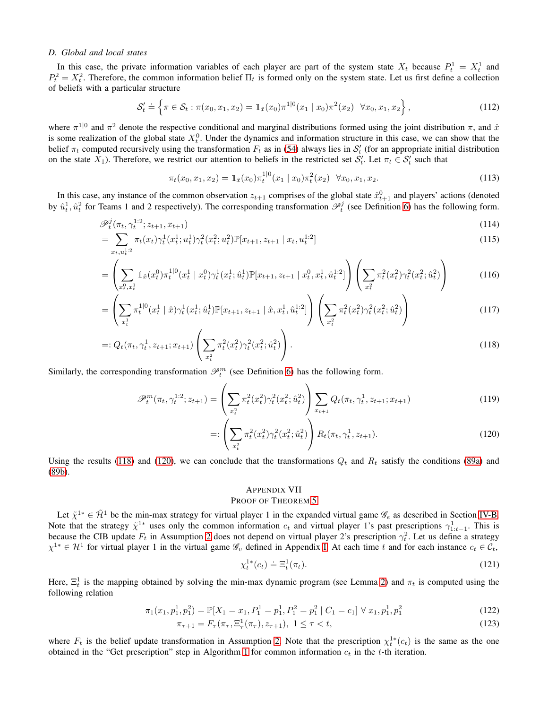### <span id="page-17-1"></span>*D. Global and local states*

In this case, the private information variables of each player are part of the system state  $X_t$  because  $P_t^1 = X_t^1$  and  $P_t^2 = X_t^2$ . Therefore, the common information belief  $\Pi_t$  is formed only on the system state. Let us first define a collection of beliefs with a particular structure

$$
\mathcal{S}'_t \doteq \left\{ \pi \in \mathcal{S}_t : \pi(x_0, x_1, x_2) = \mathbb{1}_{\hat{x}}(x_0) \pi^{1|0}(x_1 \mid x_0) \pi^2(x_2) \quad \forall x_0, x_1, x_2 \right\},\tag{112}
$$

where  $\pi^{1|0}$  and  $\pi^2$  denote the respective conditional and marginal distributions formed using the joint distribution  $\pi$ , and  $\hat{x}$ is some realization of the global state  $X_t^0$ . Under the dynamics and information structure in this case, we can show that the belief  $\pi_t$  computed recursively using the transformation  $F_t$  as in [\(54\)](#page-11-3) always lies in  $S'_t$  (for an appropriate initial distribution on the state  $X_1$ ). Therefore, we restrict our attention to beliefs in the restricted set  $S'_t$ . Let  $\pi_t \in S'_t$  such that

$$
\pi_t(x_0, x_1, x_2) = \mathbb{1}_{\hat{x}}(x_0) \pi_t^{1|0}(x_1 | x_0) \pi_t^2(x_2) \quad \forall x_0, x_1, x_2. \tag{113}
$$

In this case, any instance of the common observation  $z_{t+1}$  comprises of the global state  $\hat{x}_{t+1}^0$  and players' actions (denoted by  $\hat{u}_t^1, \hat{u}_t^2$  for Teams 1 and 2 respectively). The corresponding transformation  $\mathcal{P}_t^j$  (see Definition 6) has the following form.

$$
\mathcal{P}_t^j(\pi_t, \gamma_t^{1:2}; z_{t+1}, x_{t+1}) \tag{114}
$$

$$
= \sum_{x_t, u_t^{1:2}} \pi_t(x_t) \gamma_t^1(x_t^1; u_t^1) \gamma_t^2(x_t^2; u_t^2) \mathbb{P}[x_{t+1}, z_{t+1} | x_t, u_t^{1:2}]
$$
\n(115)

$$
= \left(\sum_{x_t^0, x_t^1} \mathbb{1}_{\hat{x}}(x_t^0) \pi_t^{1|0}(x_t^1 | x_t^0) \gamma_t^1(x_t^1; \hat{u}_t^1) \mathbb{P}[x_{t+1}, z_{t+1} | x_t^0, x_t^1, \hat{u}_t^{1:2}] \right) \left(\sum_{x_t^2} \pi_t^2(x_t^2) \gamma_t^2(x_t^2; \hat{u}_t^2) \right) \tag{116}
$$

$$
= \left(\sum_{x_t^1} \pi_t^{1|0}(x_t^1 \mid \hat{x}) \gamma_t^1(x_t^1; \hat{u}_t^1) \mathbb{P}[x_{t+1}, z_{t+1} \mid \hat{x}, x_t^1, \hat{u}_t^{1:2}]\right) \left(\sum_{x_t^2} \pi_t^2(x_t^2) \gamma_t^2(x_t^2; \hat{u}_t^2)\right) \tag{117}
$$

$$
=: Q_t(\pi_t, \gamma_t^1, z_{t+1}; x_{t+1}) \left( \sum_{x_t^2} \pi_t^2(x_t^2) \gamma_t^2(x_t^2; \hat{u}_t^2) \right).
$$
\n(118)

Similarly, the corresponding transformation  $\mathcal{P}_t^m$  (see Definition 6) has the following form.

$$
\mathscr{P}_t^m(\pi_t, \gamma_t^{1:2}; z_{t+1}) = \left(\sum_{x_t^2} \pi_t^2(x_t^2) \gamma_t^2(x_t^2; \hat{u}_t^2)\right) \sum_{x_{t+1}} Q_t(\pi_t, \gamma_t^1, z_{t+1}; x_{t+1})
$$
\n(119)

<span id="page-17-2"></span>
$$
=:\left(\sum_{x_t^2} \pi_t^2(x_t^2)\gamma_t^2(x_t^2;\hat{u}_t^2)\right) R_t(\pi_t,\gamma_t^1,z_{t+1}).\tag{120}
$$

Using the results [\(118\)](#page-17-2) and [\(120\)](#page-17-3), we can conclude that the transformations  $Q_t$  and  $R_t$  satisfy the conditions [\(89a\)](#page-15-1) and [\(89b\)](#page-15-2).

# <span id="page-17-3"></span><span id="page-17-0"></span>APPENDIX VII PROOF OF THEOREM [5](#page-5-2)

Let  $\tilde{\chi}^{1*} \in \tilde{\mathcal{H}}^1$  be the min-max strategy for virtual player 1 in the expanded virtual game  $\mathscr{G}_e$  as described in Section [IV-B.](#page-4-9) Note that the strategy  $\tilde{\chi}^{1*}$  uses only the common information  $c_t$  and virtual player 1's past prescriptions  $\gamma_{1:t-1}^1$ . This is because the CIB update  $F_t$  in Assumption [2](#page-4-5) does not depend on virtual player 2's prescription  $\gamma_t^2$ . Let us define a strategy  $\chi^{1*} \in \mathcal{H}^1$  for virtual player 1 in the virtual game  $\mathscr{G}_v$  defined in Appendix [I.](#page-8-0) At each time t and for each instance  $c_t \in \mathcal{C}_t$ ,

$$
\chi_t^{1*}(c_t) \doteq \Xi_t^1(\pi_t). \tag{121}
$$

Here,  $\Xi_t^1$  is the mapping obtained by solving the min-max dynamic program (see Lemma [2\)](#page-4-1) and  $\pi_t$  is computed using the following relation

$$
\pi_1(x_1, p_1^1, p_1^2) = \mathbb{P}[X_1 = x_1, P_1^1 = p_1^1, P_1^2 = p_1^2 \mid C_1 = c_1] \,\forall \, x_1, p_1^1, p_1^2 \tag{122}
$$

$$
\pi_{\tau+1} = F_{\tau}(\pi_{\tau}, \Xi_{\tau}^1(\pi_{\tau}), z_{\tau+1}), \ 1 \le \tau < t,
$$
\n(123)

where  $F_t$  is the belief update transformation in Assumption [2.](#page-4-5) Note that the prescription  $\chi_t^{1*}(c_t)$  is the same as the one obtained in the "Get prescription" step in Algorithm [1](#page-5-1) for common information  $c_t$  in the t-th iteration.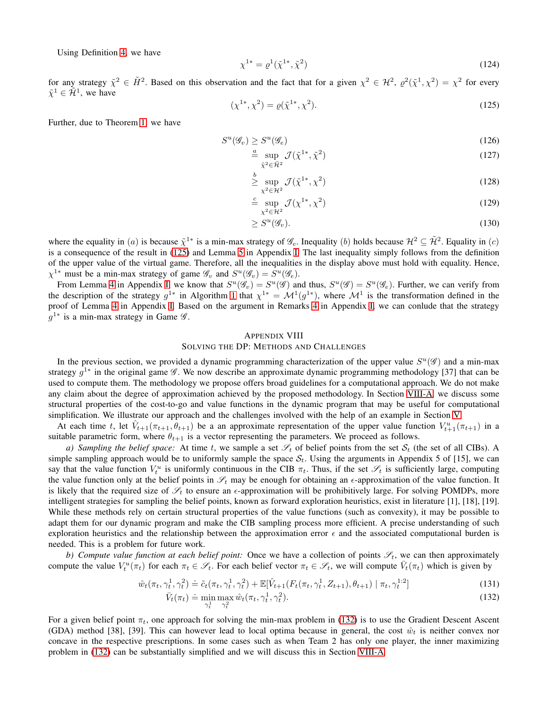Using Definition [4,](#page-9-0) we have

$$
\chi^{1*} = \varrho^1(\tilde{\chi}^{1*}, \tilde{\chi}^2) \tag{124}
$$

for any strategy  $\tilde{\chi}^2 \in \tilde{H}^2$ . Based on this observation and the fact that for a given  $\chi^2 \in \mathcal{H}^2$ ,  $\varrho^2(\tilde{\chi}^1, \chi^2) = \chi^2$  for every  $\tilde{\chi}^1 \in \tilde{\mathcal{H}}^1$ , we have

<span id="page-18-1"></span>
$$
(\chi^{1*}, \chi^2) = \varrho(\tilde{\chi}^{1*}, \chi^2). \tag{125}
$$

Further, due to Theorem [1,](#page-3-1) we have

$$
S^u(\mathcal{G}_v) \ge S^u(\mathcal{G}_e) \tag{126}
$$

$$
\stackrel{a}{=} \sup_{\tilde{\chi}^2 \in \tilde{\mathcal{H}}^2} \mathcal{J}(\tilde{\chi}^{1*}, \tilde{\chi}^2) \tag{127}
$$

$$
\geq \sup_{\chi^2 \in \mathcal{H}^2} \mathcal{J}(\tilde{\chi}^{1*}, \chi^2)
$$
\n(128)

$$
\stackrel{c}{=} \sup_{\chi^2 \in \mathcal{H}^2} \mathcal{J}(\chi^{1*}, \chi^2) \tag{129}
$$

$$
\geq S^u(\mathscr{G}_v). \tag{130}
$$

where the equality in (*a*) is because  $\tilde{\chi}^{1*}$  is a min-max strategy of  $\mathscr{G}_e$ . Inequality (*b*) holds because  $\mathcal{H}^2 \subseteq \tilde{\mathcal{H}}^2$ . Equality in (*c*) is a consequence of the result in [\(125\)](#page-18-1) and Lemma [5](#page-9-1) in Appendix [I.](#page-8-0) The last inequality simply follows from the definition of the upper value of the virtual game. Therefore, all the inequalities in the display above must hold with equality. Hence,  $\chi^{1*}$  must be a min-max strategy of game  $\mathscr{G}_v$  and  $S^u(\mathscr{G}_v) = S^u(\mathscr{G}_e)$ .

From Lemma [4](#page-8-3) in Appendix [I,](#page-8-0) we know that  $S^u(\mathscr{G}_v) = S^u(\mathscr{G})$  and thus,  $S^u(\mathscr{G}) = S^u(\mathscr{G}_e)$ . Further, we can verify from the description of the strategy  $g^{1*}$  in Algorithm [1](#page-5-1) that  $\chi^{1*} = \mathcal{M}^1(g^{1*})$ , where  $\mathcal{M}^1$  is the transformation defined in the proof of Lemma [4](#page-8-3) in Appendix [I.](#page-8-0) Based on the argument in Remarks [4](#page-9-2) in Appendix [I,](#page-8-0) we can conlude that the strategy  $g^{1*}$  is a min-max strategy in Game  $\mathscr{G}$ .

### <span id="page-18-0"></span>APPENDIX VIII

### SOLVING THE DP: METHODS AND CHALLENGES

In the previous section, we provided a dynamic programming characterization of the upper value  $S^u(\mathscr{G})$  and a min-max strategy  $g^{1*}$  in the original game  $\mathscr G$ . We now describe an approximate dynamic programming methodology [37] that can be used to compute them. The methodology we propose offers broad guidelines for a computational approach. We do not make any claim about the degree of approximation achieved by the proposed methodology. In Section [VIII-A,](#page-19-0) we discuss some structural properties of the cost-to-go and value functions in the dynamic program that may be useful for computational simplification. We illustrate our approach and the challenges involved with the help of an example in Section [V.](#page-5-0)

At each time t, let  $\hat{V}_{t+1}(\pi_{t+1}, \theta_{t+1})$  be a an approximate representation of the upper value function  $V_{t+1}^u(\pi_{t+1})$  in a suitable parametric form, where  $\theta_{t+1}$  is a vector representing the parameters. We proceed as follows.

*a)* Sampling the belief space: At time t, we sample a set  $\mathscr{S}_t$  of belief points from the set  $\mathcal{S}_t$  (the set of all CIBs). A simple sampling approach would be to uniformly sample the space  $S_t$ . Using the arguments in Appendix 5 of [15], we can say that the value function  $V_t^u$  is uniformly continuous in the CIB  $\pi_t$ . Thus, if the set  $\mathscr{S}_t$  is sufficiently large, computing the value function only at the belief points in  $\mathscr{S}_t$  may be enough for obtaining an  $\epsilon$ -approximation of the value function. It is likely that the required size of  $\mathscr{S}_t$  to ensure an  $\epsilon$ -approximation will be prohibitively large. For solving POMDPs, more intelligent strategies for sampling the belief points, known as forward exploration heuristics, exist in literature [1], [18], [19]. While these methods rely on certain structural properties of the value functions (such as convexity), it may be possible to adapt them for our dynamic program and make the CIB sampling process more efficient. A precise understanding of such exploration heuristics and the relationship between the approximation error  $\epsilon$  and the associated computational burden is needed. This is a problem for future work.

*b) Compute value function at each belief point:* Once we have a collection of points  $\mathscr{S}_t$ , we can then approximately compute the value  $V_t^u(\pi_t)$  for each  $\pi_t \in \mathscr{S}_t$ . For each belief vector  $\pi_t \in \mathscr{S}_t$ , we will compute  $\bar{V}_t(\pi_t)$  which is given by

$$
\hat{w}_t(\pi_t, \gamma_t^1, \gamma_t^2) \doteq \tilde{c}_t(\pi_t, \gamma_t^1, \gamma_t^2) + \mathbb{E}[\hat{V}_{t+1}(F_t(\pi_t, \gamma_t^1, Z_{t+1}), \theta_{t+1}) | \pi_t, \gamma_t^{1:2}]
$$
\n(131)

<span id="page-18-2"></span>
$$
\bar{V}_t(\pi_t) \doteq \min_{\gamma_t^1} \max_{\gamma_t^2} \hat{w}_t(\pi_t, \gamma_t^1, \gamma_t^2). \tag{132}
$$

For a given belief point  $\pi_t$ , one approach for solving the min-max problem in [\(132\)](#page-18-2) is to use the Gradient Descent Ascent (GDA) method [38], [39]. This can however lead to local optima because in general, the cost  $\hat{w}_t$  is neither convex nor concave in the respective prescriptions. In some cases such as when Team 2 has only one player, the inner maximizing problem in [\(132\)](#page-18-2) can be substantially simplified and we will discuss this in Section [VIII-A.](#page-19-0)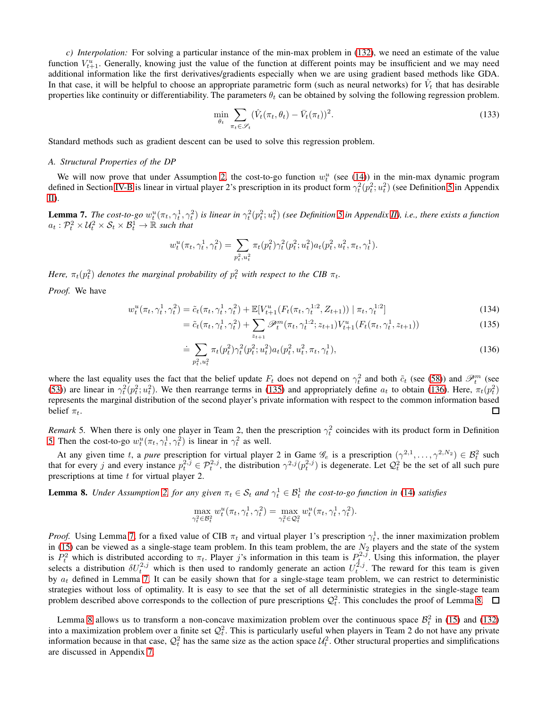*c) Interpolation:* For solving a particular instance of the min-max problem in [\(132\)](#page-18-2), we need an estimate of the value function  $V_{t+1}^u$ . Generally, knowing just the value of the function at different points may be insufficient and we may need additional information like the first derivatives/gradients especially when we are using gradient based methods like GDA. In that case, it will be helpful to choose an appropriate parametric form (such as neural networks) for  $\hat{V}_t$  that has desirable properties like continuity or differentiability. The parameters  $\theta_t$  can be obtained by solving the following regression problem.

$$
\min_{\theta_t} \sum_{\pi_t \in \mathcal{S}_t} (\hat{V}_t(\pi_t, \theta_t) - \bar{V}_t(\pi_t))^2.
$$
\n(133)

<span id="page-19-0"></span>Standard methods such as gradient descent can be used to solve this regression problem.

### *A. Structural Properties of the DP*

We will now prove that under Assumption [2,](#page-4-5) the cost-to-go function  $w_t^u$  (see [\(14\)](#page-4-6)) in the min-max dynamic program defined in Section [IV-B](#page-4-9) is linear in virtual player 2's prescription in its product form  $\gamma_t^2(p_t^2; u_t^2)$  (see Definition [5](#page-10-8) in Appendix [II\)](#page-10-0).

<span id="page-19-3"></span>**Lemma 7.** The cost-to-go  $w_t^u(\pi_t, \gamma_t^1, \gamma_t^2)$  is linear in  $\gamma_t^2(p_t^2; u_t^2)$  (see Definition [5](#page-10-8) in Appendix [II\)](#page-10-0), i.e., there exists a function  $a_t: \mathcal{P}_t^2 \times \mathcal{U}_t^2 \times \mathcal{S}_t \times \mathcal{B}_t^1 \to \mathbb{R}$  such that

$$
w_t^u(\pi_t, \gamma_t^1, \gamma_t^2) = \sum_{p_t^2, u_t^2} \pi_t(p_t^2) \gamma_t^2(p_t^2; u_t^2) a_t(p_t^2, u_t^2, \pi_t, \gamma_t^1).
$$

*Here,*  $\pi_t(p_t^2)$  *denotes the marginal probability of*  $p_t^2$  *with respect to the CIB*  $\pi_t$ *.* 

*Proof.* We have

$$
w_t^u(\pi_t, \gamma_t^1, \gamma_t^2) = \tilde{c}_t(\pi_t, \gamma_t^1, \gamma_t^2) + \mathbb{E}[V_{t+1}^u(F_t(\pi_t, \gamma_t^{1:2}, Z_{t+1})) | \pi_t, \gamma_t^{1:2}]
$$
\n(134)

<span id="page-19-1"></span>
$$
= \tilde{c}_t(\pi_t, \gamma_t^1, \gamma_t^2) + \sum_{z_{t+1}} \mathscr{P}_t^m(\pi_t, \gamma_t^{1:2}; z_{t+1}) V_{t+1}^u(F_t(\pi_t, \gamma_t^1, z_{t+1}))
$$
\n(135)

<span id="page-19-2"></span>
$$
\dot{=} \sum_{p_t^2, u_t^2} \pi_t(p_t^2) \gamma_t^2(p_t^2; u_t^2) a_t(p_t^2, u_t^2, \pi_t, \gamma_t^1), \tag{136}
$$

where the last equality uses the fact that the belief update  $F_t$  does not depend on  $\gamma_t^2$  and both  $\tilde{c}_t$  (see [\(58\)](#page-12-0)) and  $\mathscr{P}_t^m$  (see [\(53\)](#page-11-4)) are linear in  $\gamma_t^2(p_t^2; u_t^2)$ . We then rearrange terms in [\(135\)](#page-19-1) and appropriately define  $a_t$  to obtain [\(136\)](#page-19-2). Here,  $\pi_t(p_t^2)$ represents the marginal distribution of the second player's private information with respect to the common information based belief  $\pi_t$ .  $\Box$ 

*Remark* 5. When there is only one player in Team 2, then the prescription  $\gamma_t^2$  coincides with its product form in Definition [5.](#page-10-8) Then the cost-to-go  $w_t^u(\pi_t, \gamma_t^1, \gamma_t^2)$  is linear in  $\gamma_t^2$  as well.

At any given time t, a *pure* prescription for virtual player 2 in Game  $\mathscr{G}_e$  is a prescription  $(\gamma^{2,1}, \dots, \gamma^{2,N_2}) \in \mathcal{B}_t^2$  such that for every j and every instance  $p_t^{2,\tilde{j}} \in \mathcal{P}_t^{2,j}$ , the distribution  $\gamma^{2,j}(p_t^{2,j})$  is degenerate. Let  $\mathcal{Q}_t^2$  be the set of all such pure prescriptions at time  $t$  for virtual player 2.

<span id="page-19-4"></span>**Lemma 8.** *Under Assumption [2,](#page-4-5) for any given*  $\pi_t \in S_t$  *and*  $\gamma_t^1 \in B_t^1$  *the cost-to-go function in* [\(14\)](#page-4-6) *satisfies* 

$$
\max_{\gamma_t^2 \in \mathcal{B}_t^2} w_t^u(\pi_t, \gamma_t^1, \gamma_t^2) = \max_{\gamma_t^2 \in \mathcal{Q}_t^2} w_t^u(\pi_t, \gamma_t^1, \gamma_t^2).
$$

*Proof.* Using Lemma [7,](#page-19-3) for a fixed value of CIB  $\pi_t$  and virtual player 1's prescription  $\gamma_t^1$ , the inner maximization problem *thout.* Sing Lemma 7, for a fixed value of CIB  $n_t$  and virtual player 1's prescription  $\gamma_t$ , the filter maximization problem in [\(15\)](#page-4-3) can be viewed as a single-stage team problem. In this team problem, the are  $N_2$  pla is  $P_t^2$  which is distributed according to  $\pi_t$ . Player j's information in this team is  $P_t^{2,j}$ . Using this information, the player selects a distribution  $\delta U_t^{2,j}$  which is then used to randomly generate an action  $U_t^{2,j}$ . The reward for this team is given by  $a_t$  defined in Lemma [7.](#page-19-3) It can be easily shown that for a single-stage team problem, we can restrict to deterministic strategies without loss of optimality. It is easy to see that the set of all deterministic strategies in the single-stage team problem described above corresponds to the collection of pure prescriptions  $Q_t^2$ . This concludes the proof of Lemma [8.](#page-19-4)

Lemma [8](#page-19-4) allows us to transform a non-concave maximization problem over the continuous space  $\mathcal{B}_t^2$  in [\(15\)](#page-4-3) and [\(132\)](#page-18-2) into a maximization problem over a finite set  $\mathcal{Q}_t^2$ . This is particularly useful when players in Team 2 do not have any private information because in that case,  $Q_t^2$  has the same size as the action space  $\mathcal{U}_t^2$ . Other structural properties and simplifications are discussed in Appendix [7.](#page-19-3)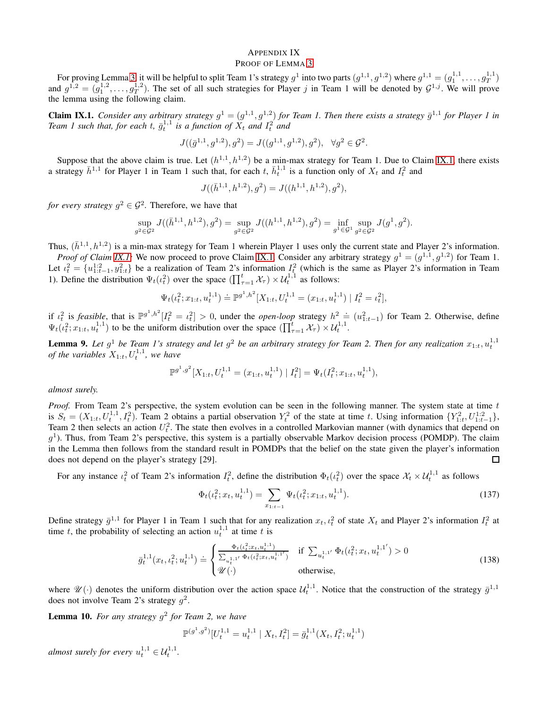### <span id="page-20-0"></span>APPENDIX IX PROOF OF LEMMA [3](#page-5-3)

For proving Lemma [3,](#page-5-3) it will be helpful to split Team 1's strategy  $g^1$  into two parts  $(g^{1,1}, g^{1,2})$  where  $g^{1,1} = (g_1^{1,1}, \ldots, g_T^{1,1})$ and  $g^{1,2} = (g_1^{1,2}, \ldots, g_T^{1,2})$ . The set of all such strategies for Player j in Team 1 will be denoted by  $G^{1,j}$ . We will prove the lemma using the following claim.

<span id="page-20-1"></span>**Claim IX.1.** Consider any arbitrary strategy  $g^1 = (g^{1,1}, g^{1,2})$  for Team 1. Then there exists a strategy  $\bar{g}^{1,1}$  for Player 1 in Team 1 such that, for each t,  $\bar{g}_t^{1,1}$  is a function of  $X_t$  and  $I_t^2$  and

$$
J((\bar g^{1,1},g^{1,2}),g^2)=J((g^{1,1},g^{1,2}),g^2), \ \ \forall g^2\in \mathcal G^2.
$$

Suppose that the above claim is true. Let  $(h^{1,1}, h^{1,2})$  be a min-max strategy for Team 1. Due to Claim [IX.1,](#page-20-1) there exists a strategy  $\bar{h}^{1,1}$  for Player 1 in Team 1 such that, for each t,  $\bar{h}^{1,1}_t$  is a function only of  $X_t$  and  $I_t^2$  and

$$
J((\bar{h}^{1,1},h^{1,2}),g^2)=J((h^{1,1},h^{1,2}),g^2),
$$

*for every strategy*  $g^2 \in \mathcal{G}^2$ . Therefore, we have that

$$
\sup_{g^2\in \mathcal{G}^2} J((\bar{h}^{1,1},h^{1,2}), g^2) = \sup_{g^2\in \mathcal{G}^2} J((h^{1,1},h^{1,2}), g^2) = \inf_{g^1\in \mathcal{G}^1} \sup_{g^2\in \mathcal{G}^2} J(g^1,g^2).
$$

Thus,  $(\bar{h}^{1,1}, h^{1,2})$  is a min-max strategy for Team 1 wherein Player 1 uses only the current state and Player 2's information.

*Proof of Claim IX.1*: We now proceed to prove Claim [IX.1.](#page-20-1) Consider any arbitrary strategy  $g^1 = (g^{1,1}, g^{1,2})$  for Team 1. Let  $\iota_t^2 = \{u_{1:t-1}^{1:2}, y_{1:t}^2\}$  be a realization of Team 2's information  $I_t^2$  (which is the same as Player 2's information in Team 1). Define the distribution  $\Psi_t(\iota_t^2)$  over the space  $(\prod_{\tau=1}^t \mathcal{X}_\tau) \times \mathcal{U}_t^{1,1}$  as follows:

$$
\Psi_t(\iota_t^2; x_{1:t}, u_t^{1,1}) \doteq \mathbb{P}^{g^1, h^2}[X_{1:t}, U_t^{1,1} = (x_{1:t}, u_t^{1,1}) | I_t^2 = \iota_t^2],
$$

if  $\iota_t^2$  is *feasible*, that is  $\mathbb{P}^{g^1,h^2}[I_t^2 = \iota_t^2] > 0$ , under the *open-loop* strategy  $h^2 = (u_{1:t-1}^2)$  for Team 2. Otherwise, define  $\Psi_t(\iota_t^2; x_{1:t}, u_t^{1,1})$  to be the uniform distribution over the space  $(\prod_{\tau=1}^t \mathcal{X}_\tau) \times \mathcal{U}_t^{1,1}$ .

<span id="page-20-2"></span>**Lemma 9.** Let  $g^1$  be Team 1's strategy and let  $g^2$  be an arbitrary strategy for Team 2. Then for any realization  $x_{1:t}$ ,  $u_t^{1,1}$ *of the variables*  $X_{1:t}$ ,  $U_t^{1,1}$ , we have

$$
\mathbb{P}^{g^1,g^2}[X_{1:t}, U_t^{1,1} = (x_{1:t}, u_t^{1,1}) | I_t^2] = \Psi_t(I_t^2; x_{1:t}, u_t^{1,1}),
$$

*almost surely.*

*Proof.* From Team 2's perspective, the system evolution can be seen in the following manner. The system state at time t is  $S_t = (X_{1:t}, U_t^{1,1}, I_t^2)$ . Team 2 obtains a partial observation  $Y_t^2$  of the state at time t. Using information  $\{Y_{1:t}^2, U_{1:t-1}^{1,2}\}$ , Team 2 then selects an action  $U_t^2$ . The state then evolves in a controlled Markovian manner (with dynamics that depend on  $g<sup>1</sup>$ ). Thus, from Team 2's perspective, this system is a partially observable Markov decision process (POMDP). The claim in the Lemma then follows from the standard result in POMDPs that the belief on the state given the player's information does not depend on the player's strategy [29].  $\Box$ 

For any instance  $\iota_t^2$  of Team 2's information  $I_t^2$ , define the distribution  $\Phi_t(\iota_t^2)$  over the space  $\mathcal{X}_t \times \mathcal{U}_t^{1,1}$  as follows

<span id="page-20-4"></span><span id="page-20-3"></span>
$$
\Phi_t(\iota_t^2; x_t, u_t^{1,1}) = \sum_{x_{1:t-1}} \Psi_t(\iota_t^2; x_{1:t}, u_t^{1,1}).
$$
\n(137)

Define strategy  $\bar{g}^{1,1}$  for Player 1 in Team 1 such that for any realization  $x_t, \iota_t^2$  of state  $X_t$  and Player 2's information  $I_t^2$  at time t, the probability of selecting an action  $u_t^{1,1}$  at time t is

$$
\bar{g}_t^{1,1}(x_t, \iota_t^2; u_t^{1,1}) \doteq \begin{cases} \frac{\Phi_t(\iota_t^2; x_t, u_t^{1,1})}{\sum_{u_t^{1,1'}} \Phi_t(\iota_t^2; x_t, u_t^{1,1'})} & \text{if } \sum_{u_t^{1,1'}} \Phi_t(\iota_t^2; x_t, u_t^{1,1'}) > 0\\ \mathcal{U}(\cdot) & \text{otherwise,} \end{cases}
$$
\n(138)

where  $\mathscr{U}(\cdot)$  denotes the uniform distribution over the action space  $\mathcal{U}_t^{1,1}$ . Notice that the construction of the strategy  $\bar{g}^{1,1}$ does not involve Team 2's strategy  $g^2$ .

<span id="page-20-5"></span>Lemma 10. *For any strategy* g 2 *for Team 2, we have*

$$
\mathbb{P}^{(g^1,g^2)}[U_t^{1,1} = u_t^{1,1} | X_t, I_t^2] = \bar{g}_t^{1,1}(X_t, I_t^2; u_t^{1,1})
$$

*almost surely for every*  $u_t^{1,1} \in \mathcal{U}_t^{1,1}$ .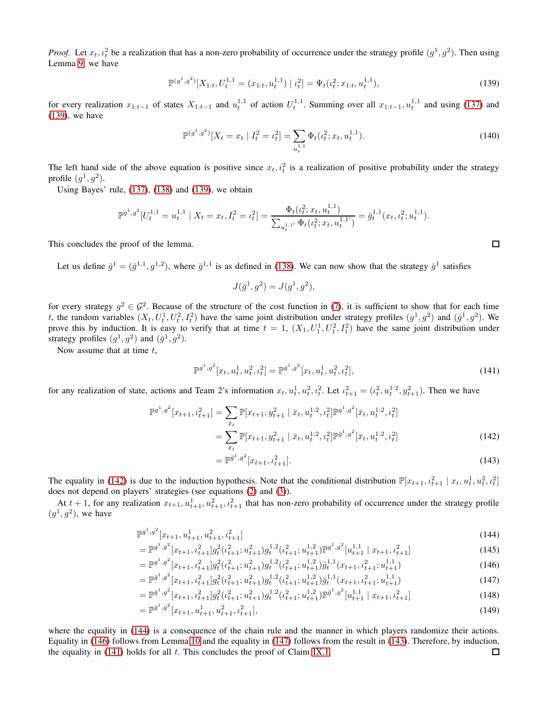*Proof.* Let  $x_t$ ,  $\iota_t^2$  be a realization that has a non-zero probability of occurrence under the strategy profile  $(g^1, g^2)$ . Then using Lemma [9,](#page-20-2) we have

$$
\mathbb{P}^{(g^1,g^2)}[X_{1:t}, U_t^{1,1} = (x_{1:t}, u_t^{1,1}) | \iota_t^2] = \Psi_t(\iota_t^2; x_{1:t}, u_t^{1,1}),
$$
\n(139)

for every realization  $x_{1:t-1}$  of states  $X_{1:t-1}$  and  $u_t^{1,1}$  of action  $U_t^{1,1}$ . Summing over all  $x_{1:t-1}, u_t^{1,1}$  and using [\(137\)](#page-20-3) and [\(139\)](#page-21-0), we have

$$
\mathbb{P}^{(g^1,g^2)}[X_t = x_t | I_t^2 = \iota_t^2] = \sum_{u_t^{1,1}} \Phi_t(\iota_t^2; x_t, u_t^{1,1}).
$$
\n(140)

The left hand side of the above equation is positive since  $x_t$ ,  $i_t^2$  is a realization of positive probability under the strategy profile  $(g^1, g^2)$ .

Using Bayes' rule, [\(137\)](#page-20-3), [\(138\)](#page-20-4) and [\(139\)](#page-21-0), we obtain

$$
\mathbb{P}^{g^1,g^2}[U_t^{1,1} = u_t^{1,1} | X_t = x_t, I_t^2 = \iota_t^2] = \frac{\Phi_t(\iota_t^2; x_t, u_t^{1,1})}{\sum_{u_t^{1,1'}} \Phi_t(\iota_t^2; x_t, u_t^{1,1'})} = \bar{g}_t^{1,1}(x_t, \iota_t^2; u_t^{1,1}).
$$

This concludes the proof of the lemma.

Let us define  $\bar{g}^1 = (\bar{g}^{1,1}, g^{1,2})$ , where  $\bar{g}^{1,1}$  is as defined in [\(138\)](#page-20-4). We can now show that the strategy  $\bar{g}^1$  satisfies

$$
J(\bar{g}^1, g^2) = J(g^1, g^2),
$$

for every strategy  $g^2 \in \mathcal{G}^2$ . Because of the structure of the cost function in [\(7\)](#page-2-7), it is sufficient to show that for each time t, the random variables  $(X_t, U_t^1, U_t^2, I_t^2)$  have the same joint distribution under strategy profiles  $(g^1, g^2)$  and  $(\bar{g}^1, g^2)$ . We prove this by induction. It is easy to verify that at time  $t = 1$ ,  $(X_1, U_1^1, U_1^2, I_1^2)$  have the same joint distribution under strategy profiles  $(g^1, g^2)$  and  $(\bar{g}^1, g^2)$ .

Now assume that at time  $t$ ,

$$
\mathbb{P}^{g^1,g^2}[x_t, u_t^1, u_t^2, u_t^2] = \mathbb{P}^{\bar{g}^1,g^2}[x_t, u_t^1, u_t^2, u_t^2],
$$
\n(141)

for any realization of state, actions and Team 2's information  $x_t$ ,  $u_t^1$ ,  $u_t^2$ ,  $u_t^2$ . Let  $\iota_{t+1}^2 = (\iota_t^2, u_t^{1:2}, y_{t+1}^2)$ . Then we have

$$
\mathbb{P}^{g^1,g^2}[x_{t+1}, t_{t+1}^2] = \sum_{\bar{x}_t} \mathbb{P}[x_{t+1}, y_{t+1}^2 | \bar{x}_t, u_t^{1:2}, t_t^2] \mathbb{P}^{g^1,g^2}[\bar{x}_t, u_t^{1:2}, t_t^2]
$$
  

$$
= \sum_{\bar{x}_t} \mathbb{P}[x_{t+1}, y_{t+1}^2 | \bar{x}_t, u_t^{1:2}, t_t^2] \mathbb{P}^{\bar{g}^1,g^2}[\bar{x}_t, u_t^{1:2}, t_t^2]
$$
(142)

<span id="page-21-4"></span><span id="page-21-3"></span><span id="page-21-2"></span>
$$
= \mathbb{P}^{\bar{g}^1, g^2}[x_{t+1}, t_{t+1}^2]. \tag{143}
$$

The equality in [\(142\)](#page-21-1) is due to the induction hypothesis. Note that the conditional distribution  $\mathbb{P}[x_{t+1}, t_{t+1}^2 | x_t, u_t^1, u_t^2, t_t^2]$ does not depend on players' strategies (see equations [\(2\)](#page-1-2) and [\(3\)](#page-1-3)).

At  $t + 1$ , for any realization  $x_{t+1}, u_{t+1}^1, u_{t+1}^2, u_{t+1}^2$  that has non-zero probability of occurrence under the strategy profile  $(g^1, g^2)$ , we have

$$
\mathbb{P}^{g^1,g^2}[x_{t+1}, u_{t+1}^1, u_{t+1}^2, u_{t+1}^2] \tag{144}
$$

$$
= \mathbb{P}^{g^1,g^2}[x_{t+1}, t_{t+1}^2]g_t^2(t_{t+1}^2; u_{t+1}^2)g_t^{1,2}(t_{t+1}^2; u_{t+1}^{1,2})\mathbb{P}^{g^1,g^2}[u_{t+1}^{1,1} | x_{t+1}, t_{t+1}^2] \tag{145}
$$

$$
= \mathbb{P}^{g^1,g^2}[x_{t+1}, t_{t+1}^2]g_t^2(t_{t+1}^2; u_{t+1}^2)g_t^{1,2}(t_{t+1}^2; u_{t+1}^{1,2})\bar{g}_t^{1,1}(x_{t+1}, t_{t+1}^2; u_{t+1}^{1,1})
$$
\n(146)

$$
= \mathbb{P}^{\bar{g}^1, g^2}[x_{t+1}, t_{t+1}^2] g_t^2(t_{t+1}^2; u_{t+1}^2) g_t^{1,2}(t_{t+1}^2; u_{t+1}^{1,2}) \bar{g}_t^{1,1}(x_{t+1}, t_{t+1}^2; u_{t+1}^{1,1})
$$
\n
$$
= \bar{g}_t^{1, g^2} [x_{t+1}, t_{t+1}^2] g_t^{1,2}(t_{t+1}^2; u_{t+1}^{1,2}) g_t^{1,2}(t_{t+1}^2; u_{t+1}^{1,2}) g_t^{1,2}(t_{t+1}^2; u_{t+1}^{1,2}) g_t^{1,2}(t_{t+1}^2; u_{t+1}^{1,2}) g_t^{1,2}(t_{t+1}^2; u_{t+1}^{1,2}) g_t^{1,2}(t_{t+1}^2; u_{t+1}^{1,2}) g_t^{1,2}(t_{t+1}^2; u_{t+1}^{1,2}) g_t^{1,2}(t_{t+1}^2; u_{t+1}^{1,2}) g_t^{1,2}(t_{t+1}^2; u_{t+1}^{1,2}) g_t^{1,2}(t_{t+1}^2; u_{t+1}^{1,2}) g_t^{1,2}(t_{t+1}^2; u_{t+1}^{1,2}) g_t^{1,2}(t_{t+1}^2; u_{t+1}^{1,2}) g_t^{1,2}(t_{t+1}^2; u_{t+1}^{1,2}) g_t^{1,2}(t_{t+1}^2; u_{t+1}^{1,2}) g_t^{1,2}(t_{t+1}^2; u_{t+1}^{1,2}) g_t^{1,2}(t_{t+1}^2; u_{t+1}^{1,2}) g_t^{1,2}(t_{t+1}^2; u_{t+1}^{1,2}) g_t^{1,2}(t_{t+1}^2; u_{t+1}^{1,2}) g_t^{1,2}(t_{t+1}^2; u_{t+1}^{1,2}) g_t^{1,2}(t_{t+1}^2; u_{t+1}^{1,2}) g_t^{1,2}(t_{t+1}^2; u_{t+1}^{1,2}) g_t^{1,2}(t_{t+1}^2; u_{t+1}^{1,2}) g_t^{1
$$

$$
= \mathbb{P}^{\bar{g}^1, g^2}[x_{t+1}, t_{t+1}^2] g_t^2(t_{t+1}^2; u_{t+1}^2) g_t^{1,2}(t_{t+1}^2; u_{t+1}^{1,2}) \mathbb{P}^{\bar{g}^1, g^2}[u_{t+1}^{1,1} | x_{t+1}, t_{t+1}^2] \tag{148}
$$

$$
= \mathbb{P}^{\bar{g}^1, g^2}[x_{t+1}, u_{t+1}^1, u_{t+1}^2, t_{t+1}^2], \tag{149}
$$

where the equality in [\(144\)](#page-21-2) is a consequence of the chain rule and the manner in which players randomize their actions. Equality in [\(146\)](#page-21-3) follows from Lemma [10](#page-20-5) and the equality in [\(147\)](#page-21-4) follows from the result in [\(143\)](#page-21-5). Therefore, by induction, the equality in  $(141)$  holds for all t. This concludes the proof of Claim [IX.1.](#page-20-1)  $\Box$ 

<span id="page-21-6"></span><span id="page-21-5"></span><span id="page-21-1"></span><span id="page-21-0"></span> $\Box$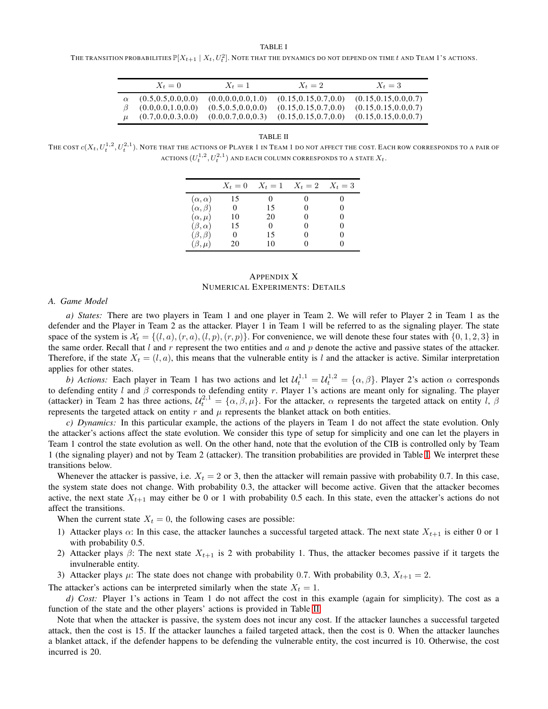TABLE I

<span id="page-22-1"></span>THE TRANSITION PROBABILITIES  $\mathbb{P}[X_{t+1}\mid X_t, U_t^2].$  Note that the dynamics do not depend on time  $t$  and Team 1's actions.

| $X_t=0$                                      | $X_t=1$                                      | $X_t=2$                                          | $X_t=3$                                          |
|----------------------------------------------|----------------------------------------------|--------------------------------------------------|--------------------------------------------------|
| (0.5, 0.5, 0.0, 0.0)<br>(0.0, 0.0, 1.0, 0.0) | (0.0, 0.0, 0.0, 1.0)<br>(0.5, 0.5, 0.0, 0.0) | (0.15, 0.15, 0.7, 0.0)<br>(0.15, 0.15, 0.7, 0.0) | (0.15, 0.15, 0.0, 0.7)<br>(0.15, 0.15, 0.0, 0.7) |
| (0.7, 0.0, 0.3, 0.0)                         | (0.0.0.7, 0.0.0.3)                           | (0.15, 0.15, 0.7, 0.0)                           | (0.15, 0.15, 0.0, 0.7)                           |

TABLE II

<span id="page-22-2"></span>THE COST  $c(X_t,U^{1,2}_t,U^{2,1}_t)$ . Note that the actions of Player 1 in Team 1 do not affect the cost. Each row corresponds to a pair of ACTIONS  $(U^{1,2}_t,U^{2,1}_t)$  and each column corresponds to a state  $X_t$ .

|                    | $X_t=0$ |         | $X_t = 1$ $X_t = 2$ $X_t = 3$ |   |
|--------------------|---------|---------|-------------------------------|---|
| $(\alpha, \alpha)$ | 15      |         |                               |   |
| $(\alpha, \beta)$  | 0       | 15      | $\mathbf{\Omega}$             |   |
| $(\alpha,\mu)$     | 10      | 20      | 0                             | 0 |
| $(\beta,\alpha)$   | 15      | $^{()}$ | 0                             | 0 |
| $(\beta, \beta)$   | 0       | 15      | $\mathbf{\Omega}$             |   |
| $(\beta,\mu)$      | 20      | 10      |                               |   |

# <span id="page-22-0"></span>APPENDIX X NUMERICAL EXPERIMENTS: DETAILS

#### *A. Game Model*

*a) States:* There are two players in Team 1 and one player in Team 2. We will refer to Player 2 in Team 1 as the defender and the Player in Team 2 as the attacker. Player 1 in Team 1 will be referred to as the signaling player. The state space of the system is  $\mathcal{X}_t = \{(l, a), (r, a), (l, p), (r, p)\}\$ . For convenience, we will denote these four states with  $\{0, 1, 2, 3\}$  in the same order. Recall that  $l$  and  $r$  represent the two entities and  $a$  and  $p$  denote the active and passive states of the attacker. Therefore, if the state  $X_t = (l, a)$ , this means that the vulnerable entity is l and the attacker is active. Similar interpretation applies for other states.

*b)* Actions: Each player in Team 1 has two actions and let  $\mathcal{U}_t^{1,1} = \mathcal{U}_t^{1,2} = \{\alpha,\beta\}$ . Player 2's action  $\alpha$  corresponds to defending entity l and  $\beta$  corresponds to defending entity r. Player 1's actions are meant only for signaling. The player (attacker) in Team 2 has three actions,  $U_t^{2,1} = \{\alpha, \beta, \mu\}$ . For the attacker,  $\alpha$  represents the targeted attack on entity l,  $\beta$ represents the targeted attack on entity  $r$  and  $\mu$  represents the blanket attack on both entities.

*c) Dynamics:* In this particular example, the actions of the players in Team 1 do not affect the state evolution. Only the attacker's actions affect the state evolution. We consider this type of setup for simplicity and one can let the players in Team 1 control the state evolution as well. On the other hand, note that the evolution of the CIB is controlled only by Team 1 (the signaling player) and not by Team 2 (attacker). The transition probabilities are provided in Table [I.](#page-22-1) We interpret these transitions below.

Whenever the attacker is passive, i.e.  $X_t = 2$  or 3, then the attacker will remain passive with probability 0.7. In this case, the system state does not change. With probability 0.3, the attacker will become active. Given that the attacker becomes active, the next state  $X_{t+1}$  may either be 0 or 1 with probability 0.5 each. In this state, even the attacker's actions do not affect the transitions.

When the current state  $X_t = 0$ , the following cases are possible:

- 1) Attacker plays  $\alpha$ : In this case, the attacker launches a successful targeted attack. The next state  $X_{t+1}$  is either 0 or 1 with probability 0.5.
- 2) Attacker plays  $\beta$ : The next state  $X_{t+1}$  is 2 with probability 1. Thus, the attacker becomes passive if it targets the invulnerable entity.
- 3) Attacker plays  $\mu$ : The state does not change with probability 0.7. With probability 0.3,  $X_{t+1} = 2$ .

The attacker's actions can be interpreted similarly when the state  $X_t = 1$ .

*d) Cost:* Player 1's actions in Team 1 do not affect the cost in this example (again for simplicity). The cost as a function of the state and the other players' actions is provided in Table [II.](#page-22-2)

Note that when the attacker is passive, the system does not incur any cost. If the attacker launches a successful targeted attack, then the cost is 15. If the attacker launches a failed targeted attack, then the cost is 0. When the attacker launches a blanket attack, if the defender happens to be defending the vulnerable entity, the cost incurred is 10. Otherwise, the cost incurred is 20.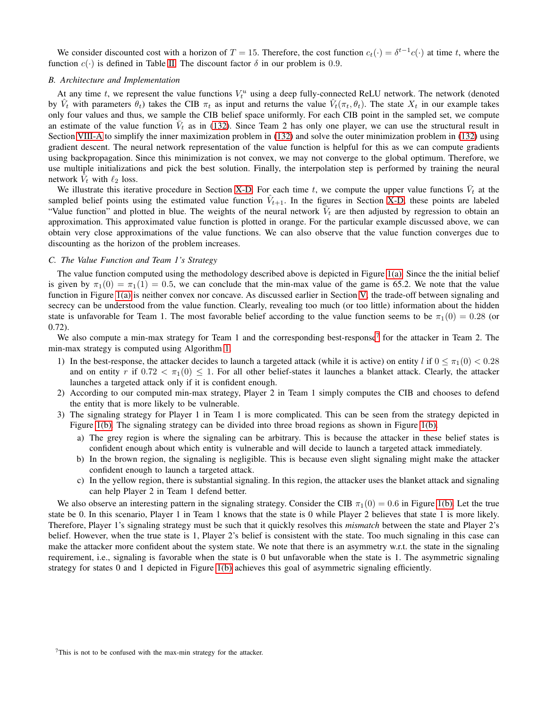We consider discounted cost with a horizon of  $T = 15$ . Therefore, the cost function  $c_t(\cdot) = \delta^{t-1} c(\cdot)$  at time t, where the function  $c(\cdot)$  is defined in Table [II.](#page-22-2) The discount factor  $\delta$  in our problem is 0.9.

### *B. Architecture and Implementation*

At any time t, we represent the value functions  $V_t^u$  using a deep fully-connected ReLU network. The network (denoted by  $\hat{V}_t$  with parameters  $\hat{\theta}_t$ ) takes the CIB  $\pi_t$  as input and returns the value  $\hat{V}_t(\pi_t, \theta_t)$ . The state  $X_t$  in our example takes only four values and thus, we sample the CIB belief space uniformly. For each CIB point in the sampled set, we compute an estimate of the value function  $\bar{V}_t$  as in [\(132\)](#page-18-2). Since Team 2 has only one player, we can use the structural result in Section [VIII-A](#page-19-0) to simplify the inner maximization problem in [\(132\)](#page-18-2) and solve the outer minimization problem in [\(132\)](#page-18-2) using gradient descent. The neural network representation of the value function is helpful for this as we can compute gradients using backpropagation. Since this minimization is not convex, we may not converge to the global optimum. Therefore, we use multiple initializations and pick the best solution. Finally, the interpolation step is performed by training the neural network  $\tilde{V}_t$  with  $\ell_2$  loss.

We illustrate this iterative procedure in Section [X-D.](#page-24-0) For each time t, we compute the upper value functions  $\bar{V}_t$  at the sampled belief points using the estimated value function  $\hat{V}_{t+1}$ . In the figures in Section [X-D,](#page-24-0) these points are labeled "Value function" and plotted in blue. The weights of the neural network  $V_t$  are then adjusted by regression to obtain an approximation. This approximated value function is plotted in orange. For the particular example discussed above, we can obtain very close approximations of the value functions. We can also observe that the value function converges due to discounting as the horizon of the problem increases.

### *C. The Value Function and Team 1's Strategy*

The value function computed using the methodology described above is depicted in Figure [1\(a\).](#page-6-0) Since the the initial belief is given by  $\pi_1(0) = \pi_1(1) = 0.5$ , we can conclude that the min-max value of the game is 65.2. We note that the value function in Figure [1\(a\)](#page-6-0) is neither convex nor concave. As discussed earlier in Section [V,](#page-5-0) the trade-off between signaling and secrecy can be understood from the value function. Clearly, revealing too much (or too little) information about the hidden state is unfavorable for Team 1. The most favorable belief according to the value function seems to be  $\pi_1(0) = 0.28$  (or 0.72).

We also compute a min-max strategy for Team 1 and the corresponding best-response<sup>[7](#page-23-0)</sup> for the attacker in Team 2. The min-max strategy is computed using Algorithm [1.](#page-5-1)

- 1) In the best-response, the attacker decides to launch a targeted attack (while it is active) on entity l if  $0 \le \pi_1(0) < 0.28$ and on entity r if  $0.72 < \pi_1(0) \leq 1$ . For all other belief-states it launches a blanket attack. Clearly, the attacker launches a targeted attack only if it is confident enough.
- 2) According to our computed min-max strategy, Player 2 in Team 1 simply computes the CIB and chooses to defend the entity that is more likely to be vulnerable.
- 3) The signaling strategy for Player 1 in Team 1 is more complicated. This can be seen from the strategy depicted in Figure [1\(b\).](#page-6-1) The signaling strategy can be divided into three broad regions as shown in Figure [1\(b\).](#page-6-1)
	- a) The grey region is where the signaling can be arbitrary. This is because the attacker in these belief states is confident enough about which entity is vulnerable and will decide to launch a targeted attack immediately.
	- b) In the brown region, the signaling is negligible. This is because even slight signaling might make the attacker confident enough to launch a targeted attack.
	- c) In the yellow region, there is substantial signaling. In this region, the attacker uses the blanket attack and signaling can help Player 2 in Team 1 defend better.

We also observe an interesting pattern in the signaling strategy. Consider the CIB  $\pi_1(0) = 0.6$  in Figure [1\(b\).](#page-6-1) Let the true state be 0. In this scenario, Player 1 in Team 1 knows that the state is 0 while Player 2 believes that state 1 is more likely. Therefore, Player 1's signaling strategy must be such that it quickly resolves this *mismatch* between the state and Player 2's belief. However, when the true state is 1, Player 2's belief is consistent with the state. Too much signaling in this case can make the attacker more confident about the system state. We note that there is an asymmetry w.r.t. the state in the signaling requirement, i.e., signaling is favorable when the state is 0 but unfavorable when the state is 1. The asymmetric signaling strategy for states 0 and 1 depicted in Figure [1\(b\)](#page-6-1) achieves this goal of asymmetric signaling efficiently.

<span id="page-23-0"></span> $7$ This is not to be confused with the max-min strategy for the attacker.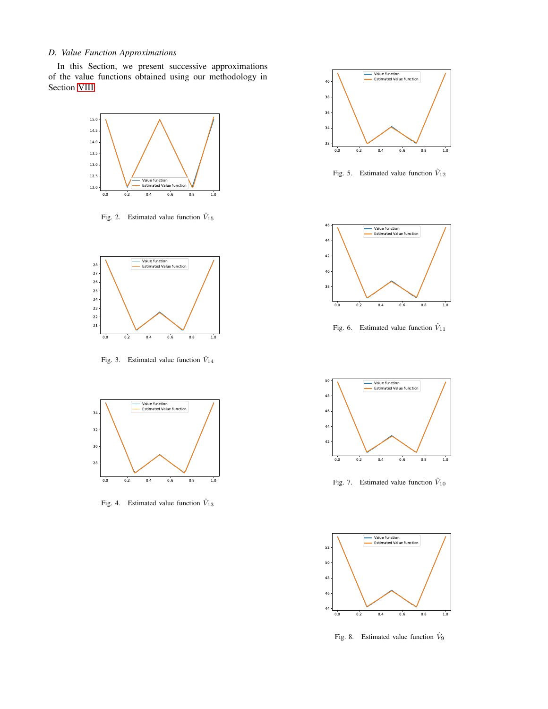### <span id="page-24-0"></span>*D. Value Function Approximations*

In this Section, we present successive approximations of the value functions obtained using our methodology in Section [VIII.](#page-18-0)



Fig. 2. Estimated value function  $V_{15}$ 



Fig. 3. Estimated value function  $\hat{V}_{14}$ 



Fig. 4. Estimated value function  $\hat{V}_{13}$ 



Fig. 5. Estimated value function  $\hat{V}_{12}$ 



Fig. 6. Estimated value function  $V_{11}$ 



Fig. 7. Estimated value function  $V_{10}$ 



Fig. 8. Estimated value function  $\hat{V}_9$